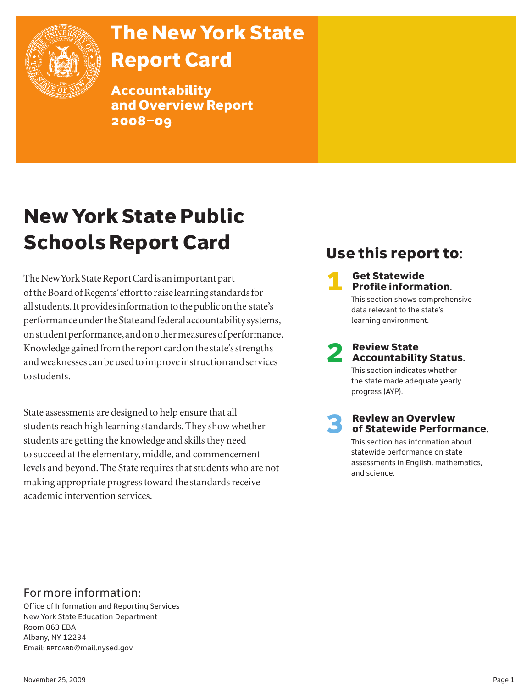

# The New York State Report Card

Accountability and Overview Report 2008–09

# New York State Public Schools Report Card

The New York State Report Card is an important part of the Board of Regents' effort to raise learning standards for all students. It provides information to the public on the state's performance under the State and federal accountability systems, on student performance, and on other measures of performance. Knowledge gained from the report card on the state's strengths and weaknesses can be used to improve instruction and services to students.

State assessments are designed to help ensure that all students reach high learning standards. They show whether students are getting the knowledge and skills they need to succeed at the elementary, middle, and commencement levels and beyond. The State requires that students who are not making appropriate progress toward the standards receive academic intervention services.

# Use this report to:

# **1** Get Statewide<br>**Profile information.**

 This section shows comprehensive data relevant to the state's learning environment.

# **2** Review State<br>Accountability Status.

 This section indicates whether the state made adequate yearly progress (AYP).

### **Review an Overview** of Statewide Performance.

 This section has information about statewide performance on state assessments in English, mathematics, and science.

### For more information:

Office of Information and Reporting Services New York State Education Department Room 863 EBA Albany, NY 12234 Email: RPTCARD@mail.nysed.gov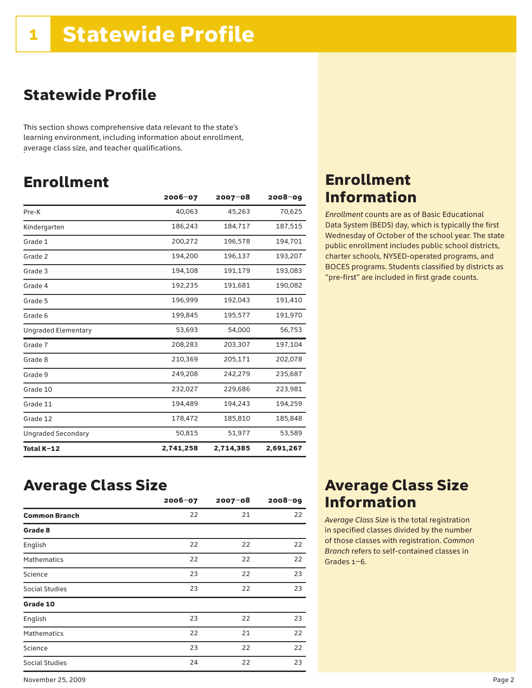# Statewide Profile

This section shows comprehensive data relevant to the state's learning environment, including information about enrollment, average class size, and teacher qualifications. .

# Enrollment

|                            | $2006 - 07$ | $2007 - 08$ | $2008 - 09$ |
|----------------------------|-------------|-------------|-------------|
| Pre-K                      | 40,063      | 45,263      | 70,625      |
| Kindergarten               | 186,243     | 184,717     | 187,515     |
| Grade 1                    | 200,272     | 196,578     | 194,701     |
| Grade 2                    | 194,200     | 196,137     | 193,207     |
| Grade 3                    | 194,108     | 191,179     | 193,083     |
| Grade 4                    | 192,235     | 191,681     | 190,082     |
| Grade 5                    | 196,999     | 192,043     | 191,410     |
| Grade 6                    | 199,845     | 195,577     | 191,970     |
| <b>Ungraded Elementary</b> | 53,693      | 54,000      | 56,753      |
| Grade 7                    | 208,283     | 203,307     | 197,104     |
| Grade 8                    | 210,369     | 205,171     | 202,078     |
| Grade 9                    | 249,208     | 242,279     | 235,687     |
| Grade 10                   | 232,027     | 229,686     | 223,981     |
| Grade 11                   | 194,489     | 194,243     | 194,259     |
| Grade 12                   | 178,472     | 185,810     | 185,848     |
| <b>Ungraded Secondary</b>  | 50,815      | 51,977      | 53,589      |
| Total K-12                 | 2,741,258   | 2,714,385   | 2,691,267   |

### Average Class Size

|                      | $2006 - 07$ | $2007 - 08$ | $2008 - 09$ |
|----------------------|-------------|-------------|-------------|
| <b>Common Branch</b> | 22          | 21          | 22          |
| Grade 8              |             |             |             |
| English              | 22          | 22          | 22          |
| <b>Mathematics</b>   | 22          | 22          | 22          |
| Science              | 23          | 22          | 23          |
| Social Studies       | 23          | 22          | 23          |
| Grade 10             |             |             |             |
| English              | 23          | 22          | 23          |
| <b>Mathematics</b>   | 22          | 21          | 22          |
| Science              | 23          | 22          | 22          |
| Social Studies       | 24          | 22          | 23          |

### Enrollment Information

*Enrollment* counts are as of Basic Educational Data System (BEDS) day, which is typically the first Wednesday of October of the school year. The state public enrollment includes public school districts, charter schools, NYSED-operated programs, and BOCES programs. Students classified by districts as "pre-first" are included in first grade counts.

### Average Class Size Information

*Average Class Size* is the total registration in specified classes divided by the number of those classes with registration. *Common Branch* refers to self-contained classes in Grades 1–6.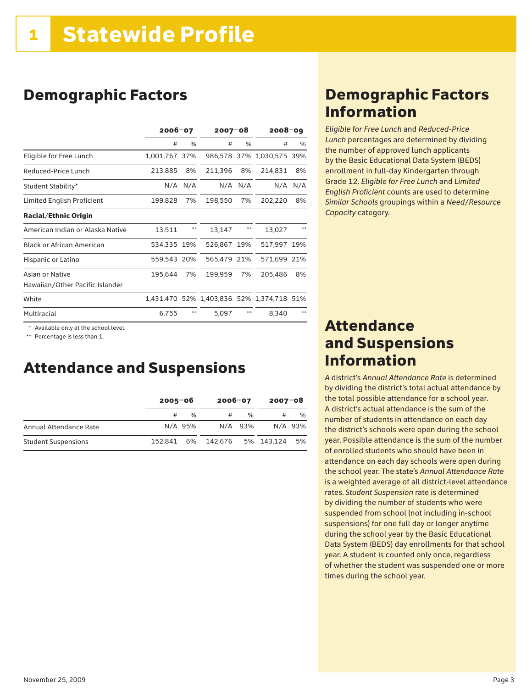## Demographic Factors

|                                  | $2006 - 07$   |             | $2007 - 08$ |             | $2008 - 09$                               |      |
|----------------------------------|---------------|-------------|-------------|-------------|-------------------------------------------|------|
|                                  | #             | %           | #           | %           | #                                         | %    |
| Eligible for Free Lunch          | 1,001,767 37% |             |             |             | 986,578 37% 1,030,575 39%                 |      |
| Reduced-Price Lunch              | 213,885       | 8%          | 211,396     | 8%          | 214,831                                   | 8%   |
| Student Stability*               |               | $N/A$ $N/A$ |             | $N/A$ $N/A$ | N/A                                       | N/A  |
| Limited English Proficient       | 199,828       | 7%          | 198,550     | 7%          | 202,220                                   | 8%   |
| <b>Racial/Ethnic Origin</b>      |               |             |             |             |                                           |      |
| American Indian or Alaska Native | 13,511        | $***$       | 13,147      | $**$        | 13,027                                    | $**$ |
| <b>Black or African American</b> | 534,335 19%   |             | 526,867 19% |             | 517,997 19%                               |      |
| Hispanic or Latino               | 559,543 20%   |             | 565,479 21% |             | 571,699 21%                               |      |
| Asian or Native                  | 195,644       | 7%          | 199,959     | 7%          | 205,486                                   | 8%   |
| Hawaiian/Other Pacific Islander  |               |             |             |             |                                           |      |
| White                            |               |             |             |             | 1,431,470 52% 1,403,836 52% 1,374,718 51% |      |
| Multiracial                      | 6,755         | $**$        | 5,097       | $**$        | 8.340                                     | $**$ |

\* Available only at the school level.

\*\* Percentage is less than 1.

### Attendance and Suspensions

|                            | 2005-06 |         | 2006-07            |               | 2007-08       |         |
|----------------------------|---------|---------|--------------------|---------------|---------------|---------|
|                            |         | %       |                    | $\frac{0}{6}$ |               | %       |
| Annual Attendance Rate     |         | N/A 95% |                    | N/A 93%       |               | N/A 93% |
| <b>Student Suspensions</b> |         |         | 152.841 6% 142.676 |               | 5% 143.124 5% |         |

### Demographic Factors Information

*Eligible for Free Lunch* and *Reduced*-*Price Lunch* percentages are determined by dividing the number of approved lunch applicants by the Basic Educational Data System (BEDS) enrollment in full-day Kindergarten through Grade 12. *Eligible for Free Lunch* and *Limited English Proficient* counts are used to determine *Similar Schools* groupings within a *Need*/*Resource Capacity* category.

### Attendance and Suspensions Information

*A* district's *Annual Attendance Rate* is determined by dividing the district's total actual attendance by the total possible attendance for a school year. A district's actual attendance is the sum of the number of students in attendance on each day the district's schools were open during the school year. Possible attendance is the sum of the number of enrolled students who should have been in attendance on each day schools were open during the school year. The state's *Annual Attendance Rate* is a weighted average of all district-level attendance rates. *Student Suspension* rate is determined by dividing the number of students who were suspended from school (not including in-school suspensions) for one full day or longer anytime during the school year by the Basic Educational Data System (BEDS) day enrollments for that school year. A student is counted only once, regardless of whether the student was suspended one or more times during the school year.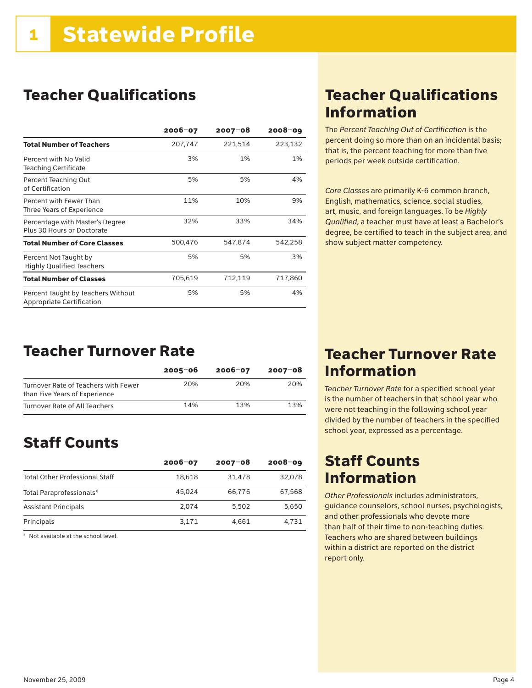# Teacher Qualifications

|                                                                 | 2006-07 | 2007-08 | $2008 - 09$ |
|-----------------------------------------------------------------|---------|---------|-------------|
| <b>Total Number of Teachers</b>                                 | 207,747 | 221,514 | 223,132     |
| Percent with No Valid<br><b>Teaching Certificate</b>            | 3%      | 1%      | 1%          |
| Percent Teaching Out<br>of Certification                        | 5%      | 5%      | 4%          |
| Percent with Fewer Than<br>Three Years of Experience            | 11%     | 10%     | 9%          |
| Percentage with Master's Degree<br>Plus 30 Hours or Doctorate   | 32%     | 33%     | 34%         |
| <b>Total Number of Core Classes</b>                             | 500,476 | 547,874 | 542,258     |
| Percent Not Taught by<br><b>Highly Qualified Teachers</b>       | 5%      | 5%      | 3%          |
| <b>Total Number of Classes</b>                                  | 705,619 | 712,119 | 717,860     |
| Percent Taught by Teachers Without<br>Appropriate Certification | 5%      | 5%      | 4%          |

# Teacher Qualifications Information

The *Percent Teaching Out of Certification* is the percent doing so more than on an incidental basis; that is, the percent teaching for more than five periods per week outside certification.

*Core Classes* are primarily K-6 common branch, English, mathematics, science, social studies, art, music, and foreign languages. To be *Highly Qualified*, a teacher must have at least a Bachelor's degree, be certified to teach in the subject area, and show subject matter competency.

### Teacher Turnover Rate

|                                                                       | $2005 - 06$ | $2006 - 07$ | $2007 - 08$ |
|-----------------------------------------------------------------------|-------------|-------------|-------------|
| Turnover Rate of Teachers with Fewer<br>than Five Years of Experience | 20%         | 20%         | 20%         |
| Turnover Rate of All Teachers                                         | 14%         | 13%         | 13%         |

## Staff Counts

|                                       | $2006 - 07$ | $2007 - 08$ | $2008 - 09$ |
|---------------------------------------|-------------|-------------|-------------|
| <b>Total Other Professional Staff</b> | 18.618      | 31.478      | 32,078      |
| Total Paraprofessionals*              | 45.024      | 66,776      | 67,568      |
| <b>Assistant Principals</b>           | 2.074       | 5.502       | 5,650       |
| Principals                            | 3,171       | 4.661       | 4.731       |

\* Not available at the school level.

### Teacher Turnover Rate Information

*Teacher Turnover Rate* for a specified school year is the number of teachers in that school year who were not teaching in the following school year divided by the number of teachers in the specified school year, expressed as a percentage.

### Staff Counts Information

*Other Professionals* includes administrators, guidance counselors, school nurses, psychologists, and other professionals who devote more than half of their time to non-teaching duties. Teachers who are shared between buildings within a district are reported on the district report only.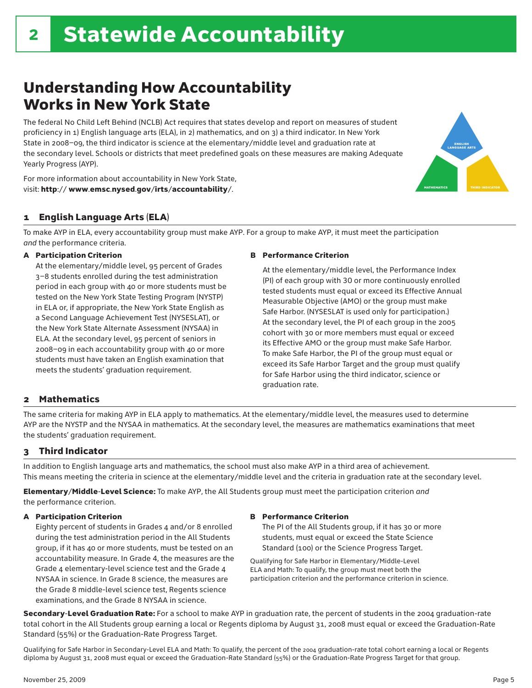# Understanding How Accountability Works in New York State

The federal No Child Left Behind (NCLB) Act requires that states develop and report on measures of student proficiency in 1) English language arts (ELA), in 2) mathematics, and on 3) a third indicator. In New York State in 2008–09, the third indicator is science at the elementary/middle level and graduation rate at the secondary level. Schools or districts that meet predefined goals on these measures are making Adequate Yearly Progress (AYP).





To make AYP in ELA, every accountability group must make AYP. For a group to make AYP, it must meet the participation *and* the performance criteria.

#### A Participation Criterion

At the elementary/middle level, 95 percent of Grades 3–8 students enrolled during the test administration period in each group with 40 or more students must be tested on the New York State Testing Program (NYSTP) in ELA or, if appropriate, the New York State English as a Second Language Achievement Test (NYSESLAT), or the New York State Alternate Assessment (NYSAA) in ELA. At the secondary level, 95 percent of seniors in 2008–09 in each accountability group with 40 or more students must have taken an English examination that meets the students' graduation requirement.

#### B Performance Criterion

 At the elementary/middle level, the Performance Index (PI) of each group with 30 or more continuously enrolled tested students must equal or exceed its Effective Annual Measurable Objective (AMO) or the group must make Safe Harbor. (NYSESLAT is used only for participation.) At the secondary level, the PI of each group in the 2005 cohort with 30 or more members must equal or exceed its Effective AMO or the group must make Safe Harbor. To make Safe Harbor, the PI of the group must equal or exceed its Safe Harbor Target and the group must qualify for Safe Harbor using the third indicator, science or graduation rate.

### 2 Mathematics

The same criteria for making AYP in ELA apply to mathematics. At the elementary/middle level, the measures used to determine AYP are the NYSTP and the NYSAA in mathematics. At the secondary level, the measures are mathematics examinations that meet the students' graduation requirement.

### 3 Third Indicator

In addition to English language arts and mathematics, the school must also make AYP in a third area of achievement. This means meeting the criteria in science at the elementary/middle level and the criteria in graduation rate at the secondary level.

Elementary/Middle-Level Science: To make AYP, the All Students group must meet the participation criterion *and* the performance criterion.

#### A Participation Criterion

Eighty percent of students in Grades 4 and/or 8 enrolled during the test administration period in the All Students group, if it has 40 or more students, must be tested on an accountability measure. In Grade 4, the measures are the Grade 4 elementary-level science test and the Grade 4 NYSAA in science. In Grade 8 science, the measures are the Grade 8 middle-level science test, Regents science examinations, and the Grade 8 NYSAA in science.

#### B Performance Criterion

The PI of the All Students group, if it has 30 or more students, must equal or exceed the State Science Standard (100) or the Science Progress Target.

Qualifying for Safe Harbor in Elementary/Middle-Level ELA and Math: To qualify, the group must meet both the participation criterion and the performance criterion in science.

Secondary-Level Graduation Rate: For a school to make AYP in graduation rate, the percent of students in the 2004 graduation-rate total cohort in the All Students group earning a local or Regents diploma by August 31, 2008 must equal or exceed the Graduation-Rate Standard (55%) or the Graduation-Rate Progress Target.

Qualifying for Safe Harbor in Secondary-Level ELA and Math: To qualify, the percent of the 2004 graduation-rate total cohort earning a local or Regents diploma by August 31, 2008 must equal or exceed the Graduation-Rate Standard (55%) or the Graduation-Rate Progress Target for that group.

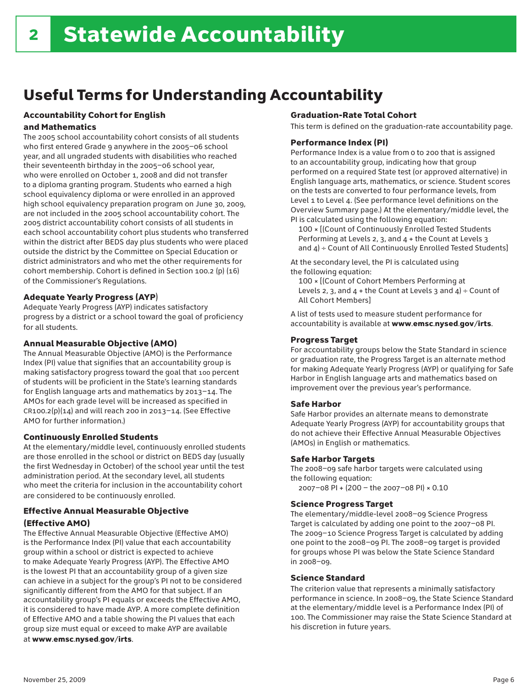# Useful Terms for Understanding Accountability

### Accountability Cohort for English

### and Mathematics

The 2005 school accountability cohort consists of all students who first entered Grade 9 anywhere in the 2005–06 school year, and all ungraded students with disabilities who reached their seventeenth birthday in the 2005–06 school year, who were enrolled on October 1, 2008 and did not transfer to a diploma granting program. Students who earned a high school equivalency diploma or were enrolled in an approved high school equivalency preparation program on June 30, 2009, are not included in the 2005 school accountability cohort. The 2005 district accountability cohort consists of all students in each school accountability cohort plus students who transferred within the district after BEDS day plus students who were placed outside the district by the Committee on Special Education or district administrators and who met the other requirements for cohort membership. Cohort is defined in Section 100.2 (p) (16) of the Commissioner's Regulations.

### Adequate Yearly Progress (AYP)

Adequate Yearly Progress (AYP) indicates satisfactory progress by a district or a school toward the goal of proficiency for all students.

### Annual Measurable Objective (AMO)

The Annual Measurable Objective (AMO) is the Performance Index (PI) value that signifies that an accountability group is making satisfactory progress toward the goal that 100 percent of students will be proficient in the State's learning standards for English language arts and mathematics by 2013–14. The AMOs for each grade level will be increased as specified in  $CR100.2(p)(14)$  and will reach 200 in 2013-14. (See Effective AMO for further information.)

### Continuously Enrolled Students

At the elementary/middle level, continuously enrolled students are those enrolled in the school or district on BEDS day (usually the first Wednesday in October) of the school year until the test administration period. At the secondary level, all students who meet the criteria for inclusion in the accountability cohort are considered to be continuously enrolled.

### Effective Annual Measurable Objective

### (Effective AMO)

The Effective Annual Measurable Objective (Effective AMO) is the Performance Index (PI) value that each accountability group within a school or district is expected to achieve to make Adequate Yearly Progress (AYP). The Effective AMO is the lowest PI that an accountability group of a given size can achieve in a subject for the group's PI not to be considered significantly different from the AMO for that subject. If an accountability group's PI equals or exceeds the Effective AMO, it is considered to have made AYP. A more complete definition of Effective AMO and a table showing the PI values that each group size must equal or exceed to make AYP are available at www.emsc.nysed.gov/irts.

### Graduation-Rate Total Cohort

This term is defined on the graduation-rate accountability page.

### Performance Index (PI)

Performance Index is a value from 0 to 200 that is assigned to an accountability group, indicating how that group performed on a required State test (or approved alternative) in English language arts, mathematics, or science. Student scores on the tests are converted to four performance levels, from Level 1 to Level 4. (See performance level definitions on the Overview Summary page.) At the elementary/middle level, the PI is calculated using the following equation:

 100 × [(Count of Continuously Enrolled Tested Students Performing at Levels 2, 3, and 4 + the Count at Levels 3 and 4) ÷ Count of All Continuously Enrolled Tested Students]

At the secondary level, the PI is calculated using the following equation:

 100 × [(Count of Cohort Members Performing at Levels 2, 3, and  $4 +$  the Count at Levels 3 and  $4) \div$  Count of All Cohort Members]

A list of tests used to measure student performance for accountability is available at www.emsc.nysed.gov/irts.

### Progress Target

For accountability groups below the State Standard in science or graduation rate, the Progress Target is an alternate method for making Adequate Yearly Progress (AYP) or qualifying for Safe Harbor in English language arts and mathematics based on improvement over the previous year's performance.

### Safe Harbor

Safe Harbor provides an alternate means to demonstrate Adequate Yearly Progress (AYP) for accountability groups that do not achieve their Effective Annual Measurable Objectives (AMOs) in English or mathematics.

### Safe Harbor Targets

The 2008–09 safe harbor targets were calculated using the following equation:

2007–08 PI + (200 – the 2007–08 PI) × 0.10

### Science Progress Target

The elementary/middle-level 2008–09 Science Progress Target is calculated by adding one point to the 2007–08 PI. The 2009–10 Science Progress Target is calculated by adding one point to the 2008–09 PI. The 2008–09 target is provided for groups whose PI was below the State Science Standard in 2008–09.

### Science Standard

The criterion value that represents a minimally satisfactory performance in science. In 2008–09, the State Science Standard at the elementary/middle level is a Performance Index (PI) of 100. The Commissioner may raise the State Science Standard at his discretion in future years.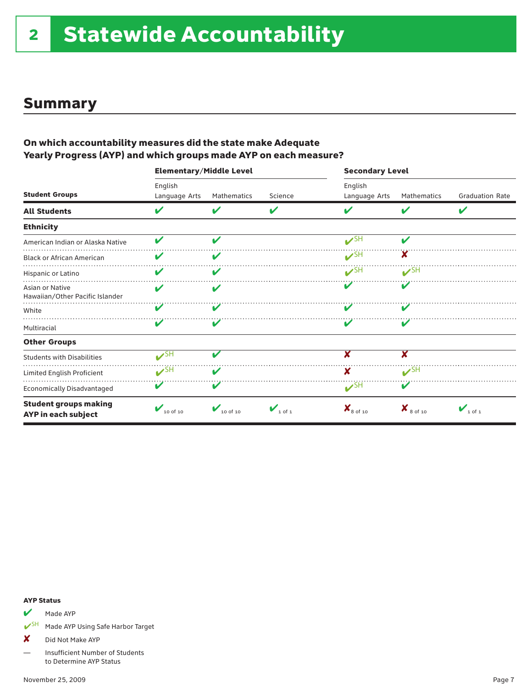### Summary

### On which accountability measures did the state make Adequate Yearly Progress (AYP) and which groups made AYP on each measure?

|                                                     | <b>Elementary/Middle Level</b> |                                      |                                | <b>Secondary Level</b>          |                                     |                                |
|-----------------------------------------------------|--------------------------------|--------------------------------------|--------------------------------|---------------------------------|-------------------------------------|--------------------------------|
| <b>Student Groups</b>                               | English<br>Language Arts       | Mathematics                          | Science                        | English<br>Language Arts        | Mathematics                         | <b>Graduation Rate</b>         |
| <b>All Students</b>                                 | V                              |                                      | V                              | ✔                               | V                                   | V                              |
| <b>Ethnicity</b>                                    |                                |                                      |                                |                                 |                                     |                                |
| American Indian or Alaska Native                    | V                              | ✔                                    |                                | $\mathcal{V}^{\text{SH}}$       | ✔                                   |                                |
| <b>Black or African American</b>                    | V                              | V                                    |                                | V <sup>SH</sup>                 | X                                   |                                |
| Hispanic or Latino                                  | V                              | ✔                                    |                                | $\boldsymbol{\nu}$ SH           | $V$ SH                              |                                |
| Asian or Native<br>Hawaiian/Other Pacific Islander  | V                              | v                                    |                                |                                 |                                     |                                |
| White                                               | V                              |                                      |                                |                                 |                                     |                                |
| Multiracial                                         | V                              |                                      |                                |                                 | V                                   |                                |
| <b>Other Groups</b>                                 |                                |                                      |                                |                                 |                                     |                                |
| <b>Students with Disabilities</b>                   | $\mathcal{V}^{\text{SH}}$      | v                                    |                                | x                               | X                                   |                                |
| Limited English Proficient                          | $\mathbf{v}$ SH                |                                      |                                | x                               | $V$ SH                              |                                |
| Economically Disadvantaged                          | V                              | V                                    |                                | $\mathcal{V}^{\text{SH}}$       | V                                   |                                |
| <b>Student groups making</b><br>AYP in each subject | $\bigvee$ 10 of 10             | $\boldsymbol{V}_{10 \text{ of } 10}$ | $\mathbf{V}_{1 \text{ of } 1}$ | $\mathbf{X}_{8 \text{ of } 10}$ | $\boldsymbol{X}_{8 \text{ of } 10}$ | $\mathbf{V}_{1 \text{ of } 1}$ |

#### AYP Status

### Made AYP

✔SH Made AYP Using Safe Harbor Target

X Did Not Make AYP

— Insufficient Number of Students to Determine AYP Status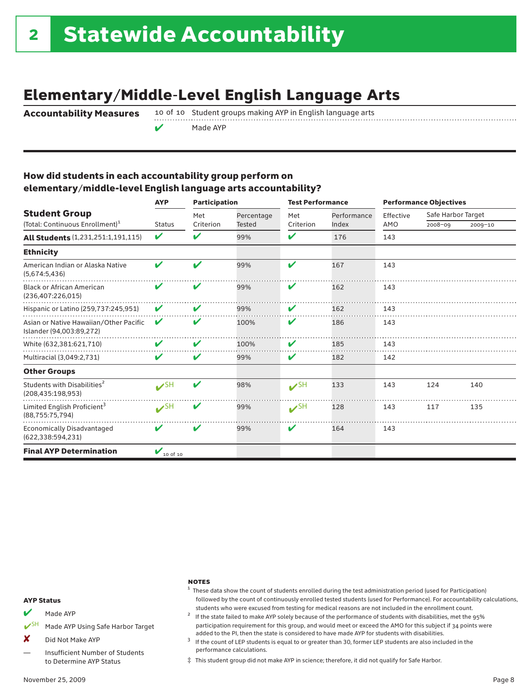# Elementary/Middle-Level English Language Arts

Accountability Measures

10 of 10 Student groups making AYP in English language arts

Made AYP

### How did students in each accountability group perform on elementary/middle-level English language arts accountability?

|                                                                     | <b>AYP</b>                | <b>Participation</b> |                             | <b>Test Performance</b> |                      | <b>Performance Objectives</b> |                                   |         |  |
|---------------------------------------------------------------------|---------------------------|----------------------|-----------------------------|-------------------------|----------------------|-------------------------------|-----------------------------------|---------|--|
| <b>Student Group</b><br>(Total: Continuous Enrollment) <sup>1</sup> | <b>Status</b>             | Met<br>Criterion     | Percentage<br><b>Tested</b> | Met<br>Criterion        | Performance<br>Index | Effective<br>AMO              | Safe Harbor Target<br>$2008 - 09$ | 2009-10 |  |
| <b>All Students</b> (1,231,251:1,191,115)                           | V                         | $\mathbf{v}$         | 99%                         | V                       | 176                  | 143                           |                                   |         |  |
| <b>Ethnicity</b>                                                    |                           |                      |                             |                         |                      |                               |                                   |         |  |
| American Indian or Alaska Native<br>(5,674:5,436)                   | V                         | ✔                    | 99%                         | ✔                       | 167                  | 143                           |                                   |         |  |
| <b>Black or African American</b><br>(236,407:226,015)               | V                         | V                    | 99%                         | V                       | 162                  | 143                           |                                   |         |  |
| Hispanic or Latino (259,737:245,951)                                | V                         | V                    | 99%                         | ✔                       | 162                  | 143                           |                                   |         |  |
| Asian or Native Hawaiian/Other Pacific<br>Islander (94,003:89,272)  | V                         | V                    | 100%                        | V                       | 186                  | 143                           |                                   |         |  |
| White (632,381:621,710)                                             | V                         | V                    | 100%                        | V                       | 185                  | 143                           |                                   |         |  |
| Multiracial (3,049:2,731)                                           | V                         | V                    | 99%                         | V                       | 182                  | 142                           |                                   |         |  |
| <b>Other Groups</b>                                                 |                           |                      |                             |                         |                      |                               |                                   |         |  |
| Students with Disabilities <sup>2</sup><br>(208, 435: 198, 953)     | $\mathcal{V}^{\text{SH}}$ | V                    | 98%                         | $V$ SH                  | 133                  | 143                           | 124                               | 140     |  |
| Limited English Proficient <sup>3</sup><br>(88, 755: 75, 794)       | $V$ SH                    | V                    | 99%                         | $\mathbf{v}$ SH         | 128                  | 143                           | 117                               | 135     |  |
| <b>Economically Disadvantaged</b><br>(622, 338: 594, 231)           | V                         | V                    | 99%                         | ✔                       | 164                  | 143                           |                                   |         |  |
| <b>Final AYP Determination</b>                                      | $V_{10 \text{ of } 10}$   |                      |                             |                         |                      |                               |                                   |         |  |

#### **NOTES**

#### AYP Status

- $M$  Made AYP
- Made AYP Using Safe Harbor Target
- X Did Not Make AYP
- Insufficient Number of Students to Determine AYP Status
- November 25, 2009 Page 8
- $1$  These data show the count of students enrolled during the test administration period (used for Participation) followed by the count of continuously enrolled tested students (used for Performance). For accountability calculations,
- students who were excused from testing for medical reasons are not included in the enrollment count. <sup>2</sup> If the state failed to make AYP solely because of the performance of students with disabilities, met the <sup>95</sup>% participation requirement for this group, and would meet or exceed the AMO for this subject if 34 points were
- added to the PI, then the state is considered to have made AYP for students with disabilities.<br><sup>3</sup> If the count of LEP students is equal to or greater than 30, former LEP students are also included in the performance calculations.
- ‡ This student group did not make AYP in science; therefore, it did not qualify for Safe Harbor.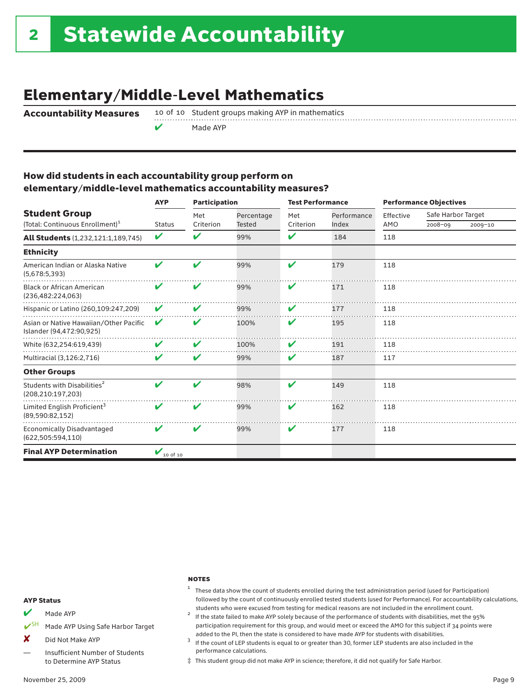# Elementary/Middle-Level Mathematics

 $\mathcal V$  Made AYP

Accountability Measures 10 of 10 Student groups making AYP in mathematics

### How did students in each accountability group perform on elementary/middle-level mathematics accountability measures?

|                                                                     | <b>AYP</b>              | <b>Participation</b> |                             |                  | <b>Test Performance</b> |                  | <b>Performance Objectives</b> |             |  |
|---------------------------------------------------------------------|-------------------------|----------------------|-----------------------------|------------------|-------------------------|------------------|-------------------------------|-------------|--|
| <b>Student Group</b><br>(Total: Continuous Enrollment) <sup>1</sup> | <b>Status</b>           | Met<br>Criterion     | Percentage<br><b>Tested</b> | Met<br>Criterion | Performance<br>Index    | Effective<br>AMO | Safe Harbor Target<br>2008-09 | $2009 - 10$ |  |
| <b>All Students</b> (1,232,121:1,189,745)                           | ✔                       | V                    | 99%                         | ✔                | 184                     | 118              |                               |             |  |
| <b>Ethnicity</b>                                                    |                         |                      |                             |                  |                         |                  |                               |             |  |
| American Indian or Alaska Native<br>(5,678:5,393)                   | ✔                       | V                    | 99%                         | V                | 179                     | 118              |                               |             |  |
| <b>Black or African American</b><br>(236,482:224,063)               | V                       | V                    | 99%                         | V                | 171                     | 118              |                               |             |  |
| Hispanic or Latino (260,109:247,209)                                | V                       | V                    | 99%                         | V                | 177                     | 118              |                               |             |  |
| Asian or Native Hawaiian/Other Pacific<br>Islander (94,472:90,925)  | ✔                       | V                    | 100%                        | V                | 195                     | 118              |                               |             |  |
| White (632.254:619.439)                                             | V                       | V                    | 100%                        | V                | 191                     | 118              |                               |             |  |
| Multiracial (3,126:2,716)                                           | V                       | V                    | 99%                         | V                | 187                     | 117              |                               |             |  |
| <b>Other Groups</b>                                                 |                         |                      |                             |                  |                         |                  |                               |             |  |
| Students with Disabilities <sup>2</sup><br>(208, 210: 197, 203)     | ✔                       | ✔                    | 98%                         | ✔                | 149                     | 118              |                               |             |  |
| Limited English Proficient <sup>3</sup><br>(89,590:82,152)          | V                       | V                    | 99%                         | V                | 162                     | 118              |                               |             |  |
| <b>Economically Disadvantaged</b><br>(622, 505: 594, 110)           | ✔                       | V                    | 99%                         | V                | 177                     | 118              |                               |             |  |
| <b>Final AYP Determination</b>                                      | $V_{10 \text{ of } 10}$ |                      |                             |                  |                         |                  |                               |             |  |

#### **NOTES**

#### AYP Status

- $M$  Made AYP
- SH Made AYP Using Safe Harbor Target
- X Did Not Make AYP
- Insufficient Number of Students to Determine AYP Status
- <sup>1</sup> These data show the count of students enrolled during the test administration period (used for Participation) followed by the count of continuously enrolled tested students (used for Performance). For accountability calculations,
- students who were excused from testing for medical reasons are not included in the enrollment count.<br><sup>2</sup> If the state failed to make AYP solely because of the performance of students with disabilities, met the 95% participation requirement for this group, and would meet or exceed the AMO for this subject if 34 points were
- added to the PI, then the state is considered to have made AYP for students with disabilities.<br><sup>3</sup> If the count of LEP students is equal to or greater than 30, former LEP students are also included in the performance calculations.
- ‡ This student group did not make AYP in science; therefore, it did not qualify for Safe Harbor.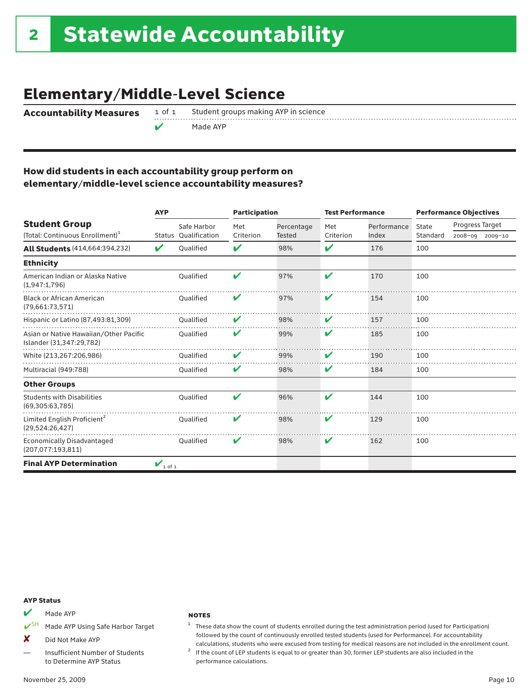## Elementary/Middle-Level Science

Accountability Measures

 $\sqrt{\phantom{a}}$  Made AYP

1 of 1 Student groups making AYP in science

### How did students in each accountability group perform on elementary/middle-level science accountability measures?

|                                                                     | <b>AYP</b>                     |                              | <b>Participation</b> |                             | <b>Test Performance</b> |                      |                   | <b>Performance Objectives</b> |             |
|---------------------------------------------------------------------|--------------------------------|------------------------------|----------------------|-----------------------------|-------------------------|----------------------|-------------------|-------------------------------|-------------|
| <b>Student Group</b><br>(Total: Continuous Enrollment) <sup>1</sup> | Status                         | Safe Harbor<br>Qualification | Met<br>Criterion     | Percentage<br><b>Tested</b> | Met<br>Criterion        | Performance<br>Index | State<br>Standard | Progress Target<br>2008-09    | $2009 - 10$ |
| <b>All Students (414,664:394,232)</b>                               | V                              | Oualified                    | V                    | 98%                         | V                       | 176                  | 100               |                               |             |
| <b>Ethnicity</b>                                                    |                                |                              |                      |                             |                         |                      |                   |                               |             |
| American Indian or Alaska Native<br>(1,947:1,796)                   |                                | Oualified                    | V                    | 97%                         | V                       | 170                  | 100               |                               |             |
| <b>Black or African American</b><br>(79,661:73,571)                 |                                | <b>Oualified</b>             | V                    | 97%                         | V                       | 154                  | 100               |                               |             |
| Hispanic or Latino (87,493:81,309)                                  |                                | Qualified                    | V                    | 98%                         | V                       | 157                  | 100               |                               |             |
| Asian or Native Hawaiian/Other Pacific<br>Islander (31,347:29,782)  |                                | Qualified                    | V                    | 99%                         | V                       | 185                  | 100               |                               |             |
| White (213,267:206,986)                                             |                                | Oualified                    | V                    | 99%                         | V                       | 190                  | 100               |                               |             |
| Multiracial (949:788)                                               |                                | Qualified                    | V                    | 98%                         | V                       | 184                  | 100               |                               |             |
| <b>Other Groups</b>                                                 |                                |                              |                      |                             |                         |                      |                   |                               |             |
| <b>Students with Disabilities</b><br>(69,305:63,785)                |                                | Oualified                    | V                    | 96%                         | V                       | 144                  | 100               |                               |             |
| Limited English Proficient <sup>2</sup><br>(29,524:26,427)          |                                | Oualified                    | V                    | 98%                         | ✔                       | 129                  | 100               |                               |             |
| <b>Economically Disadvantaged</b><br>(207,077:193,811)              |                                | <b>Oualified</b>             | V                    | 98%                         | V                       | 162                  | 100               |                               |             |
| <b>Final AYP Determination</b>                                      | $\mathbf{v}_{1 \text{ of } 1}$ |                              |                      |                             |                         |                      |                   |                               |             |

#### AYP Status

 $M$  Made AYP

■ SH Made AYP Using Safe Harbor Target

X Did Not Make AYP

Insufficient Number of Students to Determine AYP Status

#### **NOTES**

- <sup>1</sup> These data show the count of students enrolled during the test administration period (used for Participation) followed by the count of continuously enrolled tested students (used for Performance). For accountability
- calculations, students who were excused from testing for medical reasons are not included in the enrollment count.  $2$  If the count of LEP students is equal to or greater than 30, former LEP students are also included in performance calculations.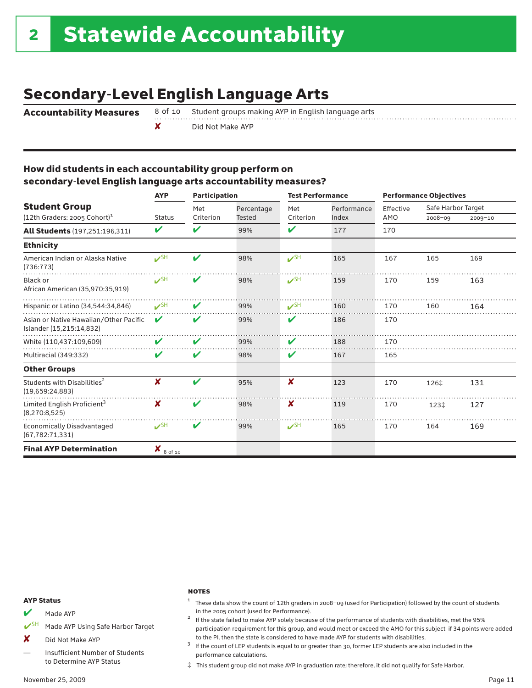# Secondary-Level English Language Arts

Accountability Measures 8 of 10 Student groups making AYP in English language arts

✘ Did Not Make AYP

### How did students in each accountability group perform on secondary-level English language arts accountability measures?

|                                                                    | <b>AYP</b>      | <b>Participation</b>       |               | <b>Test Performance</b>   |             | <b>Performance Objectives</b> |                    |         |  |
|--------------------------------------------------------------------|-----------------|----------------------------|---------------|---------------------------|-------------|-------------------------------|--------------------|---------|--|
| <b>Student Group</b>                                               |                 | Met                        | Percentage    | Met                       | Performance | Effective                     | Safe Harbor Target |         |  |
| $(12th$ Graders: 2005 Cohort) <sup>1</sup>                         | <b>Status</b>   | Criterion                  | <b>Tested</b> | Criterion                 | Index       | AMO                           | 2008-09            | 2009-10 |  |
| <b>All Students</b> (197,251:196,311)                              | V               | $\boldsymbol{\mathcal{U}}$ | 99%           | V                         | 177         | 170                           |                    |         |  |
| <b>Ethnicity</b>                                                   |                 |                            |               |                           |             |                               |                    |         |  |
| American Indian or Alaska Native<br>(736:773)                      | $V$ SH          | $\boldsymbol{\mathcal{U}}$ | 98%           | $V^{\text{SH}}$           | 165         | 167                           | 165                | 169     |  |
| Black or<br>African American (35,970:35,919)                       | $V$ SH          | V                          | 98%           | $\mathcal{V}^{\text{SH}}$ | 159         | 170                           | 159                | 163     |  |
| Hispanic or Latino (34,544:34,846)                                 | $\mathcal{S}$ H | V                          | 99%           | $\mathcal{V}^{\text{SH}}$ | 160         | 170                           | 160                | 164     |  |
| Asian or Native Hawaiian/Other Pacific<br>Islander (15,215:14,832) | V               | V                          | 99%           | V                         | 186         | 170                           |                    |         |  |
| White (110,437:109,609)                                            | V               | $\boldsymbol{\mathcal{U}}$ | 99%           | V                         | 188         | 170                           |                    |         |  |
| Multiracial (349:332)                                              | V               | V                          | 98%           | V                         | 167         | 165                           |                    |         |  |
| <b>Other Groups</b>                                                |                 |                            |               |                           |             |                               |                    |         |  |
| Students with Disabilities <sup>2</sup><br>(19,659:24,883)         | X               | $\boldsymbol{\nu}$         | 95%           | X                         | 123         | 170                           | 126‡               | 131     |  |
| Limited English Proficient <sup>3</sup><br>(8,270:8,525)           | x               | V                          | 98%           | X                         | 119         | 170                           | 123‡               | 127     |  |
| <b>Economically Disadvantaged</b><br>(67, 782: 71, 331)            | $V^{\text{SH}}$ | $\boldsymbol{\mathcal{U}}$ | 99%           | $V^{\text{SH}}$           | 165         | 170                           | 164                | 169     |  |
| <b>Final AYP Determination</b>                                     | x<br>8 of 10    |                            |               |                           |             |                               |                    |         |  |

#### AYP Status

 $M$  Made AYP

■ Made AYP Using Safe Harbor Target

X Did Not Make AYP

Insufficient Number of Students to Determine AYP Status

#### **NOTES**

- <sup>1</sup> These data show the count of 12th graders in <sup>2008</sup>–<sup>09</sup> (used for Participation) followed by the count of students
- in the <sup>2005</sup> cohort (used for Performance). <sup>2</sup> If the state failed to make AYP solely because of the performance of students with disabilities, met the 95% participation requirement for this group, and would meet or exceed the AMO for this subject if 34 points were added

to the PI, then the state is considered to have made AYP for students with disabilities.<br><sup>3</sup> If the count of LEP students is equal to or greater than 30, former LEP students are also included in the performance calculations.

‡ This student group did not make AYP in graduation rate; therefore, it did not qualify for Safe Harbor.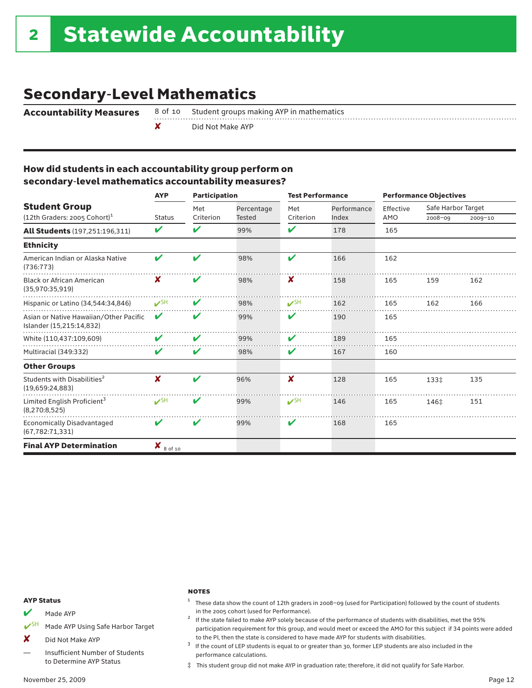# Secondary-Level Mathematics

Accountability Measures 8 of 10 Student groups making AYP in mathematics

✘ Did Not Make AYP

### How did students in each accountability group perform on secondary-level mathematics accountability measures?

|                                                                    | <b>AYP</b>                          |                    | <b>Participation</b> |                           | <b>Test Performance</b> | <b>Performance Objectives</b> |                    |         |  |
|--------------------------------------------------------------------|-------------------------------------|--------------------|----------------------|---------------------------|-------------------------|-------------------------------|--------------------|---------|--|
| <b>Student Group</b>                                               |                                     | Met                | Percentage           | Met                       | Performance             | Effective                     | Safe Harbor Target |         |  |
| $(12th$ Graders: 2005 Cohort) <sup>1</sup>                         | <b>Status</b>                       | Criterion          | <b>Tested</b>        | Criterion                 | Index                   | AMO                           | 2008-09            | 2009-10 |  |
| <b>All Students</b> (197,251:196,311)                              | V                                   | V                  | 99%                  | V                         | 178                     | 165                           |                    |         |  |
| <b>Ethnicity</b>                                                   |                                     |                    |                      |                           |                         |                               |                    |         |  |
| American Indian or Alaska Native<br>(736:773)                      | ✔                                   | $\boldsymbol{\nu}$ | 98%                  | V                         | 166                     | 162                           |                    |         |  |
| <b>Black or African American</b><br>(35,970:35,919)                | X                                   | V                  | 98%                  | X                         | 158                     | 165                           | 159                | 162     |  |
| Hispanic or Latino (34,544:34,846)                                 | $\mathcal{V}^{\text{SH}}$           | V                  | 98%                  | $V$ SH                    | 162                     | 165                           | 162                | 166     |  |
| Asian or Native Hawaiian/Other Pacific<br>Islander (15,215:14,832) | V                                   | V                  | 99%                  | V                         | 190                     | 165                           |                    |         |  |
| White (110,437:109,609)                                            | V                                   | V                  | 99%                  | V                         | 189                     | 165                           |                    |         |  |
| Multiracial (349:332)                                              | V                                   | V                  | 98%                  | V                         | 167                     | 160                           |                    |         |  |
| <b>Other Groups</b>                                                |                                     |                    |                      |                           |                         |                               |                    |         |  |
| Students with Disabilities <sup>2</sup><br>(19,659:24,883)         | X                                   | $\boldsymbol{\nu}$ | 96%                  | ×                         | 128                     | 165                           | 133‡               | 135     |  |
| Limited English Proficient <sup>3</sup><br>(8, 270: 8, 525)        | $\mathcal{S}$ H                     | V                  | 99%                  | $\mathcal{V}^{\text{SH}}$ | 146                     | 165                           | 146‡               | 151     |  |
| <b>Economically Disadvantaged</b><br>(67, 782: 71, 331)            | V                                   | V                  | 99%                  | V                         | 168                     | 165                           |                    |         |  |
| <b>Final AYP Determination</b>                                     | $\boldsymbol{X}_{8 \text{ of } 10}$ |                    |                      |                           |                         |                               |                    |         |  |

#### AYP Status

 $M$  Made AYP

■ SH Made AYP Using Safe Harbor Target

X Did Not Make AYP

Insufficient Number of Students to Determine AYP Status

#### **NOTES**

- <sup>1</sup> These data show the count of 12th graders in <sup>2008</sup>–<sup>09</sup> (used for Participation) followed by the count of students
- in the 2005 cohort (used for Performance).<br><sup>2</sup> If the state failed to make AYP solely because of the performance of students with disabilities, met the 95% participation requirement for this group, and would meet or exceed the AMO for this subject if 34 points were added

to the PI, then the state is considered to have made AYP for students with disabilities.<br><sup>3</sup> If the count of LEP students is equal to or greater than 30, former LEP students are also included in the performance calculations.

‡ This student group did not make AYP in graduation rate; therefore, it did not qualify for Safe Harbor.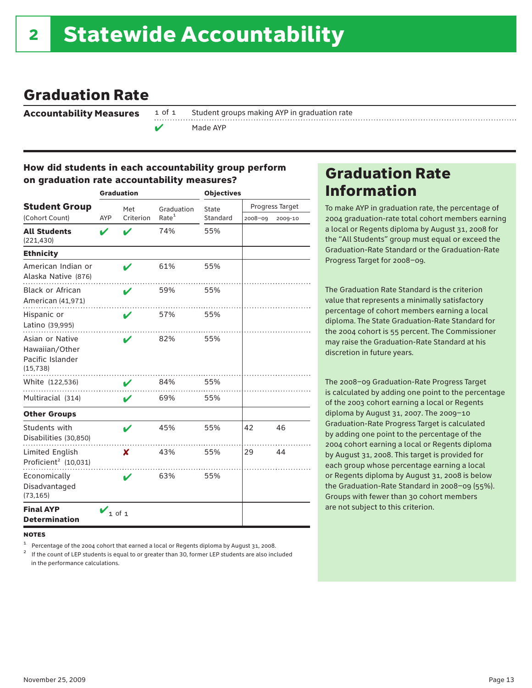### Graduation Rate

Accountability Measures

1 of 1 Student groups making AYP in graduation rate Made AYP

### How did students in each accountability group perform on graduation rate accountability measures?

|                                                                    |              | <b>Graduation</b> |                   | <b>Objectives</b> |         |                 |  |
|--------------------------------------------------------------------|--------------|-------------------|-------------------|-------------------|---------|-----------------|--|
| <b>Student Group</b>                                               |              | Met               | Graduation        | State             |         | Progress Target |  |
| (Cohort Count)                                                     | AYP          | Criterion         | Rate <sup>1</sup> | Standard          | 2008-09 | 2009-10         |  |
| <b>All Students</b><br>(221, 430)                                  | V            |                   | 74%               | 55%               |         |                 |  |
| <b>Ethnicity</b>                                                   |              |                   |                   |                   |         |                 |  |
| American Indian or<br>Alaska Native (876)                          |              |                   | 61%               | 55%               |         |                 |  |
| <b>Black or African</b><br>American (41,971)                       |              | V                 | 59%               | 55%               |         |                 |  |
| Hispanic or<br>Latino (39,995)                                     |              | ı                 | 57%               | 55%               |         |                 |  |
| Asian or Native<br>Hawaiian/Other<br>Pacific Islander<br>(15, 738) |              |                   | 82%               | 55%               |         |                 |  |
| White (122,536)                                                    |              | V                 | 84%               | 55%               |         |                 |  |
| Multiracial (314)                                                  |              | v                 | 69%               | 55%               |         |                 |  |
| <b>Other Groups</b>                                                |              |                   |                   |                   |         |                 |  |
| Students with<br>Disabilities (30,850)                             |              | ✔                 | 45%               | 55%               | 42      | 46              |  |
| Limited English<br>Proficient <sup>2</sup> (10,031)                |              | X                 | 43%               | 55%               | 29      | 44              |  |
| Economically<br>Disadvantaged<br>(73, 165)                         |              | ✔                 | 63%               | 55%               |         |                 |  |
| <b>Final AYP</b><br><b>Determination</b>                           | $V_{1 of 1}$ |                   |                   |                   |         |                 |  |

**NOTES** 

<sup>1</sup> Percentage of the 2004 cohort that earned a local or Regents diploma by August 31, 2008.<br><sup>2</sup> If the count of LEP students is equal to or greater than 30, former LEP students are also included in the performance calculations.

### Graduation Rate Information

To make AYP in graduation rate, the percentage of 2004 graduation-rate total cohort members earning a local or Regents diploma by August 31, 2008 for the "All Students" group must equal or exceed the Graduation-Rate Standard or the Graduation-Rate Progress Target for 2008–09.

The Graduation Rate Standard is the criterion value that represents a minimally satisfactory percentage of cohort members earning a local diploma. The State Graduation-Rate Standard for the 2004 cohort is 55 percent. The Commissioner may raise the Graduation-Rate Standard at his discretion in future years.

The 2008–09 Graduation-Rate Progress Target is calculated by adding one point to the percentage of the 2003 cohort earning a local or Regents diploma by August 31, 2007. The 2009–10 Graduation-Rate Progress Target is calculated by adding one point to the percentage of the 2004 cohort earning a local or Regents diploma by August 31, 2008. This target is provided for each group whose percentage earning a local or Regents diploma by August 31, 2008 is below the Graduation-Rate Standard in 2008–09 (55%). Groups with fewer than 30 cohort members are not subject to this criterion.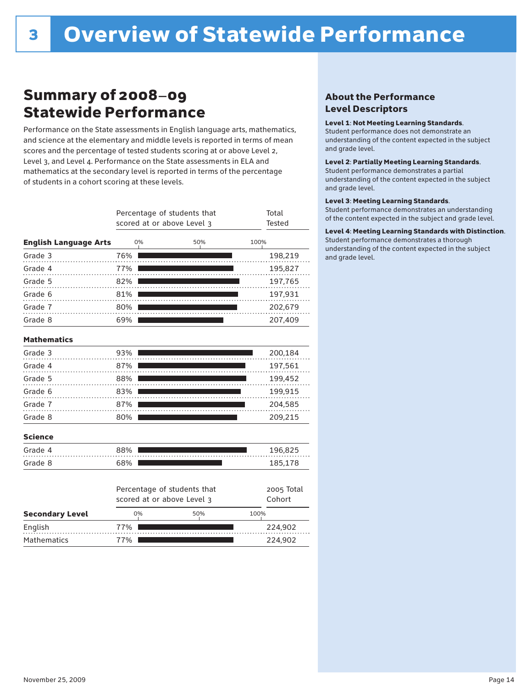## Summary of 2008–09 Statewide Performance

Performance on the State assessments in English language arts, mathematics, and science at the elementary and middle levels is reported in terms of mean scores and the percentage of tested students scoring at or above Level 2, Level 3, and Level 4. Performance on the State assessments in ELA and mathematics at the secondary level is reported in terms of the percentage of students in a cohort scoring at these levels.

|                              |     | Percentage of students that<br>scored at or above Level 3 |     |      | Total<br><b>Tested</b> |
|------------------------------|-----|-----------------------------------------------------------|-----|------|------------------------|
| <b>English Language Arts</b> | 0%  |                                                           | 50% | 100% |                        |
| Grade 3                      | 76% |                                                           |     |      | 198,219                |
| Grade 4                      | 77% |                                                           |     |      | 195,827                |
| Grade 5                      | 82% |                                                           |     |      | 197,765                |
| Grade 6                      | 81% |                                                           |     |      | 197,931                |
| Grade 7                      | 80% |                                                           |     |      | 202,679                |
| Grade 8                      | 69% |                                                           |     |      | 207,409                |
| <b>Mathematics</b>           |     |                                                           |     |      |                        |
| Grade 3                      | 93% |                                                           |     |      | 200,184                |
| Grade 4                      | 87% |                                                           |     |      | 197,561                |
| Grade 5                      | 88% |                                                           |     |      | 199,452                |
| Grade 6                      | 83% |                                                           |     |      | 199,915                |
| Grade 7                      | 87% |                                                           |     |      | 204,585                |
| Grade 8                      | 80% |                                                           |     |      | 209,215                |
| <b>Science</b>               |     |                                                           |     |      |                        |
| Grade 4                      | 88% |                                                           |     |      | 196,825                |
| Grade 8                      | 68% |                                                           |     |      | 185,178                |
|                              |     | Percentage of students that<br>scored at or above Level 3 |     |      | 2005 Total<br>Cohort   |
| <b>Secondary Level</b>       | 0%  |                                                           | 50% | 100% |                        |
| English                      | 77% |                                                           |     |      | 224,902                |

77% 224,902

### About the Performance Level Descriptors

#### Level 1: Not Meeting Learning Standards.

Student performance does not demonstrate an understanding of the content expected in the subject and grade level.

#### Level 2: Partially Meeting Learning Standards.

Student performance demonstrates a partial understanding of the content expected in the subject and grade level.

#### Level 3: Meeting Learning Standards.

Student performance demonstrates an understanding of the content expected in the subject and grade level.

#### Level 4: Meeting Learning Standards with Distinction.

Student performance demonstrates a thorough understanding of the content expected in the subject and grade level.

Mathematics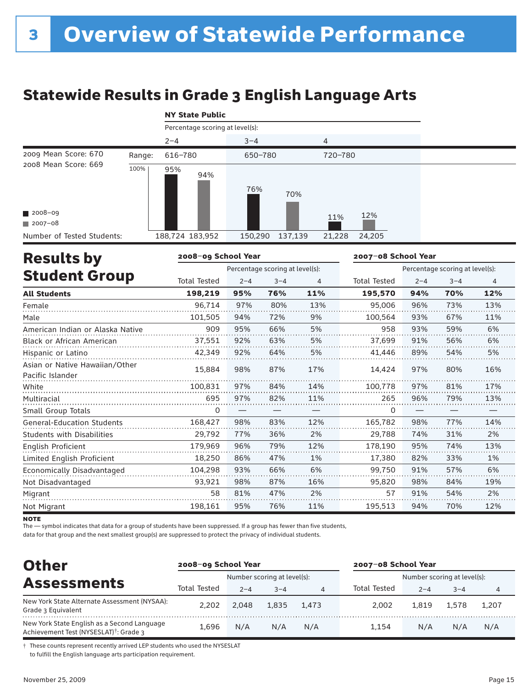# Statewide Results in Grade 3 English Language Arts

|  |  |  | <b>NY State Public</b> |
|--|--|--|------------------------|
|--|--|--|------------------------|

|                            |        | Percentage scoring at level(s): |                    |                  |  |
|----------------------------|--------|---------------------------------|--------------------|------------------|--|
|                            |        | $2 - 4$                         | $3 - 4$            | 4                |  |
| 2009 Mean Score: 670       | Range: | 616-780                         | 650-780            | 720-780          |  |
| 2008 Mean Score: 669       | 100%   | 95%<br>94%                      | 76%<br>70%         |                  |  |
| $\blacksquare$ 2008-09     |        |                                 |                    | 12%<br>11%       |  |
| $2007 - 08$                |        |                                 |                    |                  |  |
| Number of Tested Students: |        | 188,724 183,952                 | 137,139<br>150,290 | 24,205<br>21,228 |  |

| <b>Results by</b>                                  | 2008-09 School Year |         |                                 |     | 2007-08 School Year |         |                                 |     |
|----------------------------------------------------|---------------------|---------|---------------------------------|-----|---------------------|---------|---------------------------------|-----|
|                                                    |                     |         | Percentage scoring at level(s): |     |                     |         | Percentage scoring at level(s): |     |
| <b>Student Group</b>                               | <b>Total Tested</b> | $2 - 4$ | $3 - 4$                         | 4   | <b>Total Tested</b> | $2 - 4$ | $3 - 4$                         | 4   |
| <b>All Students</b>                                | 198,219             | 95%     | 76%                             | 11% | 195,570             | 94%     | 70%                             | 12% |
| Female                                             | 96,714              | 97%     | 80%                             | 13% | 95,006              | 96%     | 73%                             | 13% |
| Male                                               | 101,505             | 94%     | 72%                             | 9%  | 100,564             | 93%     | 67%                             | 11% |
| American Indian or Alaska Native                   | 909                 | 95%     | 66%                             | 5%  | 958                 | 93%     | 59%                             | 6%  |
| <b>Black or African American</b>                   | 37,551              | 92%     | 63%                             | 5%  | 37,699              | 91%     | 56%                             | 6%  |
| Hispanic or Latino                                 | 42,349              | 92%     | 64%                             | 5%  | 41,446              | 89%     | 54%                             | 5%  |
| Asian or Native Hawaiian/Other<br>Pacific Islander | 15,884              | 98%     | 87%                             | 17% | 14,424              | 97%     | 80%                             | 16% |
| White                                              | 100.831             | 97%     | 84%                             | 14% | 100,778             | 97%     | 81%                             | 17% |
| Multiracial                                        | 695                 | 97%     | 82%                             | 11% | 265                 | 96%     | 79%                             | 13% |
| Small Group Totals                                 | 0                   |         |                                 |     | 0                   |         |                                 |     |
| <b>General-Education Students</b>                  | 168,427             | 98%     | 83%                             | 12% | 165,782             | 98%     | 77%                             | 14% |
| <b>Students with Disabilities</b>                  | 29,792              | 77%     | 36%                             | 2%  | 29,788              | 74%     | 31%                             | 2%  |
| English Proficient                                 | 179,969             | 96%     | 79%                             | 12% | 178,190             | 95%     | 74%                             | 13% |
| Limited English Proficient                         | 18,250              | 86%     | 47%                             | 1%  | 17,380              | 82%     | 33%                             | 1%  |
| Economically Disadvantaged                         | 104,298             | 93%     | 66%                             | 6%  | 99,750              | 91%     | 57%                             | 6%  |
| Not Disadvantaged                                  | 93,921              | 98%     | 87%                             | 16% | 95,820              | 98%     | 84%                             | 19% |
| Migrant                                            | 58                  | 81%     | 47%                             | 2%  | 57                  | 91%     | 54%                             | 2%  |
| Not Migrant                                        | 198,161             | 95%     | 76%                             | 11% | 195,513             | 94%     | 70%                             | 12% |

**NOTE** 

The — symbol indicates that data for a group of students have been suppressed. If a group has fewer than five students,

data for that group and the next smallest group(s) are suppressed to protect the privacy of individual students.

| <b>Other</b>                                                                                      | 2008-09 School Year |         |                             |       | 2007-08 School Year |                             |         |       |  |
|---------------------------------------------------------------------------------------------------|---------------------|---------|-----------------------------|-------|---------------------|-----------------------------|---------|-------|--|
|                                                                                                   |                     |         | Number scoring at level(s): |       |                     | Number scoring at level(s): |         |       |  |
| <b>Assessments</b>                                                                                | Total Tested        | $2 - 4$ | $3 - 4$                     | 4     | Total Tested        | $2 - 4$                     | $3 - 4$ | 4     |  |
| New York State Alternate Assessment (NYSAA):<br>Grade 3 Equivalent                                | 2.202               | 2.048   | 1.835                       | 1.473 | 2.002               | 1.819                       | 1.578   | 1.207 |  |
| New York State English as a Second Language<br>Achievement Test (NYSESLAT) <sup>†</sup> : Grade 3 | 1.696               | N/A     | N/A                         | N/A   | 1.154               | N/A                         | N/A     | N/A   |  |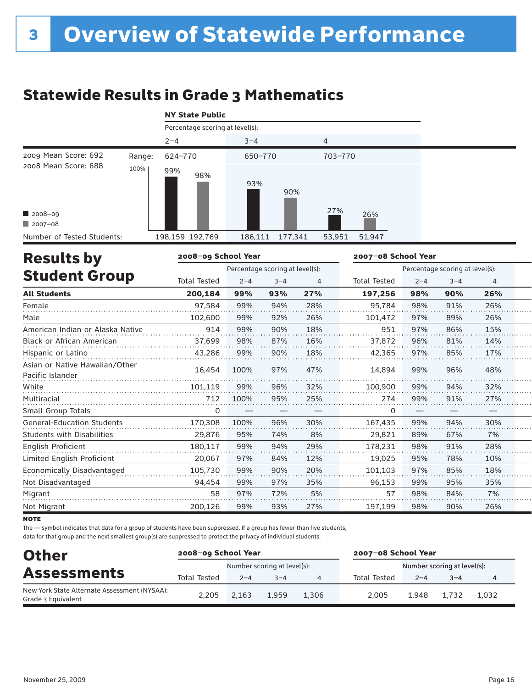# Statewide Results in Grade 3 Mathematics

|                            |        | <b>NY State Public</b>          |                    |                  |  |
|----------------------------|--------|---------------------------------|--------------------|------------------|--|
|                            |        | Percentage scoring at level(s): |                    |                  |  |
|                            |        | $2 - 4$                         | $3 - 4$            | 4                |  |
| 2009 Mean Score: 692       | Range: | 624-770                         | 650-770            | 703-770          |  |
| 2008 Mean Score: 688       | 100%   | 99%<br>98%                      | 93%<br>90%         |                  |  |
| $2008 - 09$                |        |                                 |                    | 27%<br>26%       |  |
| $2007 - 08$                |        |                                 |                    |                  |  |
| Number of Tested Students: |        | 198,159 192,769                 | 177,341<br>186,111 | 53,951<br>51,947 |  |

| <b>Results by</b>                                  | 2008-09 School Year |         |                                 |     | 2007-08 School Year |         |                                 |     |  |
|----------------------------------------------------|---------------------|---------|---------------------------------|-----|---------------------|---------|---------------------------------|-----|--|
|                                                    |                     |         | Percentage scoring at level(s): |     |                     |         | Percentage scoring at level(s): |     |  |
| <b>Student Group</b>                               | <b>Total Tested</b> | $2 - 4$ | $3 - 4$                         | 4   | <b>Total Tested</b> | $2 - 4$ | $3 - 4$                         | 4   |  |
| <b>All Students</b>                                | 200,184             | 99%     | 93%                             | 27% | 197,256             | 98%     | 90%                             | 26% |  |
| Female                                             | 97,584              | 99%     | 94%                             | 28% | 95,784              | 98%     | 91%                             | 26% |  |
| Male                                               | 102,600             | 99%     | 92%                             | 26% | 101,472             | 97%     | 89%                             | 26% |  |
| American Indian or Alaska Native                   | 914                 | 99%     | 90%                             | 18% | 951                 | 97%     | 86%                             | 15% |  |
| <b>Black or African American</b>                   | 37,699              | 98%     | 87%                             | 16% | 37,872              | 96%     | 81%                             | 14% |  |
| Hispanic or Latino                                 | 43,286              | 99%     | 90%                             | 18% | 42,365              | 97%     | 85%                             | 17% |  |
| Asian or Native Hawaiian/Other<br>Pacific Islander | 16,454              | 100%    | 97%                             | 47% | 14,894              | 99%     | 96%                             | 48% |  |
| White                                              | 101,119             | 99%     | 96%                             | 32% | 100,900             | 99%     | 94%                             | 32% |  |
| Multiracial                                        | 712                 | 100%    | 95%                             | 25% | 274                 | 99%     | 91%                             | 27% |  |
| Small Group Totals                                 | 0                   |         |                                 |     | 0                   |         |                                 |     |  |
| <b>General-Education Students</b>                  | 170,308             | 100%    | 96%                             | 30% | 167,435             | 99%     | 94%                             | 30% |  |
| <b>Students with Disabilities</b>                  | 29,876              | 95%     | 74%                             | 8%  | 29,821              | 89%     | 67%                             | 7%  |  |
| English Proficient                                 | 180,117             | 99%     | 94%                             | 29% | 178,231             | 98%     | 91%                             | 28% |  |
| Limited English Proficient                         | 20,067              | 97%     | 84%                             | 12% | 19,025              | 95%     | 78%                             | 10% |  |
| Economically Disadvantaged                         | 105,730             | 99%     | 90%                             | 20% | 101,103             | 97%     | 85%                             | 18% |  |
| Not Disadvantaged                                  | 94,454              | 99%     | 97%                             | 35% | 96,153              | 99%     | 95%                             | 35% |  |
| Migrant                                            | 58                  | 97%     | 72%                             | 5%  | 57                  | 98%     | 84%                             | 7%  |  |
| Not Migrant                                        | 200,126             | 99%     | 93%                             | 27% | 197,199             | 98%     | 90%                             | 26% |  |

**NOTE** 

The — symbol indicates that data for a group of students have been suppressed. If a group has fewer than five students,

| <b>Other</b>                                                       | 2008-09 School Year |         |                             |                | 2007-08 School Year |         |                             |       |  |
|--------------------------------------------------------------------|---------------------|---------|-----------------------------|----------------|---------------------|---------|-----------------------------|-------|--|
| <b>Assessments</b>                                                 |                     |         | Number scoring at level(s): |                |                     |         | Number scoring at level(s): |       |  |
|                                                                    | <b>Total Tested</b> | $2 - 4$ | $3 - 4$                     | $\overline{a}$ | <b>Total Tested</b> | $2 - 4$ | $3 - 4$                     |       |  |
| New York State Alternate Assessment (NYSAA):<br>Grade 3 Equivalent | 2.205               | 2.163   | 1.959                       | 1.306          | 2.005               | 1.948   | 1,732                       | 1.032 |  |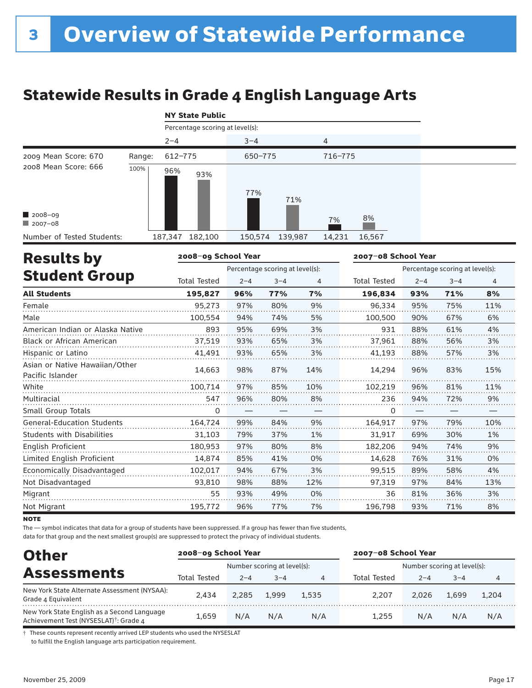# Statewide Results in Grade 4 English Language Arts

|  | <b>NY State Public</b> |
|--|------------------------|
|  |                        |

|                            |        |         | Percentage scoring at level(s): |         |         |         |        |  |  |  |  |
|----------------------------|--------|---------|---------------------------------|---------|---------|---------|--------|--|--|--|--|
|                            |        | $2 - 4$ |                                 | $3 - 4$ |         | 4       |        |  |  |  |  |
| 2009 Mean Score: 670       | Range: | 612-775 |                                 | 650-775 |         | 716-775 |        |  |  |  |  |
| 2008 Mean Score: 666       | 100%   | 96%     | 93%                             | 77%     | 71%     |         |        |  |  |  |  |
| $2008 - 09$<br>$2007 - 08$ |        |         |                                 |         |         | 7%      | 8%     |  |  |  |  |
| Number of Tested Students: |        | 187,347 | 182,100                         | 150,574 | 139,987 | 14,231  | 16,567 |  |  |  |  |

| <b>Results by</b>                                  | 2008-09 School Year |         |                                 |     | 2007-08 School Year |                                 |         |                |  |  |
|----------------------------------------------------|---------------------|---------|---------------------------------|-----|---------------------|---------------------------------|---------|----------------|--|--|
|                                                    |                     |         | Percentage scoring at level(s): |     |                     | Percentage scoring at level(s): |         |                |  |  |
| <b>Student Group</b>                               | <b>Total Tested</b> | $2 - 4$ | $3 - 4$                         | 4   | <b>Total Tested</b> | $2 - 4$                         | $3 - 4$ | $\overline{4}$ |  |  |
| <b>All Students</b>                                | 195.827             | 96%     | 77%                             | 7%  | 196,834             | 93%                             | 71%     | 8%             |  |  |
| Female                                             | 95,273              | 97%     | 80%                             | 9%  | 96,334              | 95%                             | 75%     | 11%            |  |  |
| Male                                               | 100,554             | 94%     | 74%                             | 5%  | 100,500             | 90%                             | 67%     | 6%             |  |  |
| American Indian or Alaska Native                   | 893                 | 95%     | 69%                             | 3%  | 931                 | 88%                             | 61%     | 4%             |  |  |
| <b>Black or African American</b>                   | 37,519              | 93%     | 65%                             | 3%  | 37,961              | 88%                             | 56%     | 3%             |  |  |
| Hispanic or Latino                                 | 41,491              | 93%     | 65%                             | 3%  | 41,193              | 88%                             | 57%     | 3%             |  |  |
| Asian or Native Hawaiian/Other<br>Pacific Islander | 14,663              | 98%     | 87%                             | 14% | 14,294              | 96%                             | 83%     | 15%            |  |  |
| White                                              | 100,714             | 97%     | 85%                             | 10% | 102,219             | 96%                             | 81%     | 11%            |  |  |
| Multiracial                                        | 547                 | 96%     | 80%                             | 8%  | 236                 | 94%                             | 72%     | 9%             |  |  |
| Small Group Totals                                 | 0                   |         |                                 |     | 0                   |                                 |         |                |  |  |
| <b>General-Education Students</b>                  | 164.724             | 99%     | 84%                             | 9%  | 164,917             | 97%                             | 79%     | 10%            |  |  |
| <b>Students with Disabilities</b>                  | 31,103              | 79%     | 37%                             | 1%  | 31,917              | 69%                             | 30%     | 1%             |  |  |
| English Proficient                                 | 180,953             | 97%     | 80%                             | 8%  | 182,206             | 94%                             | 74%     | 9%             |  |  |
| Limited English Proficient                         | 14,874              | 85%     | 41%                             | 0%  | 14,628              | 76%                             | 31%     | 0%             |  |  |
| Economically Disadvantaged                         | 102,017             | 94%     | 67%                             | 3%  | 99.515              | 89%                             | 58%     | 4%             |  |  |
| Not Disadvantaged                                  | 93,810              | 98%     | 88%                             | 12% | 97,319              | 97%                             | 84%     | 13%            |  |  |
| Migrant                                            | 55                  | 93%     | 49%                             | 0%  | 36                  | 81%                             | 36%     | 3%             |  |  |
| Not Migrant                                        | 195,772             | 96%     | 77%                             | 7%  | 196,798             | 93%                             | 71%     | 8%             |  |  |

**NOTE** 

The — symbol indicates that data for a group of students have been suppressed. If a group has fewer than five students,

data for that group and the next smallest group(s) are suppressed to protect the privacy of individual students.

| <b>Other</b>                                                                                      | 2008-09 School Year |         |                             |       | 2007-08 School Year |                             |         |       |  |  |
|---------------------------------------------------------------------------------------------------|---------------------|---------|-----------------------------|-------|---------------------|-----------------------------|---------|-------|--|--|
|                                                                                                   |                     |         | Number scoring at level(s): |       |                     | Number scoring at level(s): |         |       |  |  |
| <b>Assessments</b>                                                                                | <b>Total Tested</b> | $2 - 4$ | $3 - 4$                     | 4     | Total Tested        | $2 - 4$                     | $3 - 4$ | 4     |  |  |
| New York State Alternate Assessment (NYSAA):<br>Grade 4 Equivalent                                | 2.434               | 2.285   | 1.999                       | 1.535 | 2.207               | 2.026                       | 1.699   | 1.204 |  |  |
| New York State English as a Second Language<br>Achievement Test (NYSESLAT) <sup>†</sup> : Grade 4 | 1.659               | N/A     | N/A                         | N/A   | 1.255               | N/A                         | N/A     | N/A   |  |  |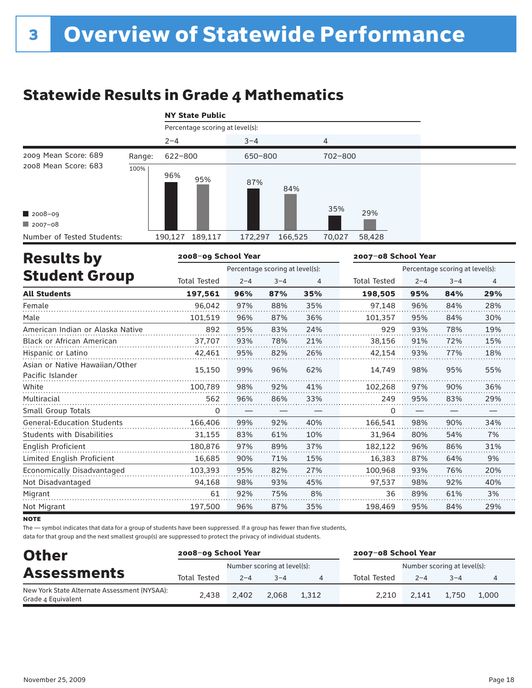# Statewide Results in Grade 4 Mathematics

|                            |        | <b>NY State Public</b>          |         |         |         |         |        |  |  |
|----------------------------|--------|---------------------------------|---------|---------|---------|---------|--------|--|--|
|                            |        | Percentage scoring at level(s): |         |         |         |         |        |  |  |
|                            |        | $2 - 4$                         |         | $3 - 4$ |         | 4       |        |  |  |
| 2009 Mean Score: 689       | Range: | 622-800                         |         | 650-800 |         | 702-800 |        |  |  |
| 2008 Mean Score: 683       | 100%   | 96%                             | 95%     | 87%     | 84%     | 35%     |        |  |  |
| $\blacksquare$ 2008-09     |        |                                 |         |         |         |         | 29%    |  |  |
| $2007 - 08$                |        |                                 |         |         |         |         |        |  |  |
| Number of Tested Students: |        | 190,127                         | 189,117 | 172,297 | 166,525 | 70,027  | 58,428 |  |  |

| <b>Results by</b>                                  | 2008-09 School Year |         |                                 |                | 2007-08 School Year |         |                                 |                |  |  |
|----------------------------------------------------|---------------------|---------|---------------------------------|----------------|---------------------|---------|---------------------------------|----------------|--|--|
|                                                    |                     |         | Percentage scoring at level(s): |                |                     |         | Percentage scoring at level(s): |                |  |  |
| <b>Student Group</b>                               | <b>Total Tested</b> | $2 - 4$ | $3 - 4$                         | $\overline{4}$ | <b>Total Tested</b> | $2 - 4$ | $3 - 4$                         | $\overline{4}$ |  |  |
| <b>All Students</b>                                | 197,561             | 96%     | 87%                             | 35%            | 198,505             | 95%     | 84%                             | 29%            |  |  |
| Female                                             | 96.042              | 97%     | 88%                             | 35%            | 97.148              | 96%     | 84%                             | 28%            |  |  |
| Male                                               | 101,519             | 96%     | 87%                             | 36%            | 101,357             | 95%     | 84%                             | 30%            |  |  |
| American Indian or Alaska Native                   | 892                 | 95%     | 83%                             | 24%            | 929                 | 93%     | 78%                             | 19%            |  |  |
| <b>Black or African American</b>                   | 37,707              | 93%     | 78%                             | 21%            | 38,156              | 91%     | 72%                             | 15%            |  |  |
| Hispanic or Latino                                 | 42,461              | 95%     | 82%                             | 26%            | 42,154              | 93%     | 77%                             | 18%            |  |  |
| Asian or Native Hawaiian/Other<br>Pacific Islander | 15,150              | 99%     | 96%                             | 62%            | 14,749              | 98%     | 95%                             | 55%            |  |  |
| White                                              | 100,789             | 98%     | 92%                             | 41%            | 102,268             | 97%     | 90%                             | 36%            |  |  |
| Multiracial                                        | 562                 | 96%     | 86%                             | 33%            | 249                 | 95%     | 83%                             | 29%            |  |  |
| Small Group Totals                                 | 0                   |         |                                 |                | 0                   |         |                                 |                |  |  |
| <b>General-Education Students</b>                  | 166,406             | 99%     | 92%                             | 40%            | 166.541             | 98%     | 90%                             | 34%            |  |  |
| <b>Students with Disabilities</b>                  | 31,155              | 83%     | 61%                             | 10%            | 31,964              | 80%     | 54%                             | 7%             |  |  |
| English Proficient                                 | 180,876             | 97%     | 89%                             | 37%            | 182,122             | 96%     | 86%                             | 31%            |  |  |
| Limited English Proficient                         | 16,685              | 90%     | 71%                             | 15%            | 16,383              | 87%     | 64%                             | 9%             |  |  |
| Economically Disadvantaged                         | 103,393             | 95%     | 82%                             | 27%            | 100.968             | 93%     | 76%                             | 20%            |  |  |
| Not Disadvantaged                                  | 94,168              | 98%     | 93%                             | 45%            | 97,537              | 98%     | 92%                             | 40%            |  |  |
| Migrant                                            | 61                  | 92%     | 75%                             | 8%             | 36                  | 89%     | 61%                             | 3%             |  |  |
| Not Migrant                                        | 197,500             | 96%     | 87%                             | 35%            | 198,469             | 95%     | 84%                             | 29%            |  |  |

**NOTE** 

The — symbol indicates that data for a group of students have been suppressed. If a group has fewer than five students,

| <b>Other</b>                                                       | 2008-09 School Year |         |                             |       | 2007-08 School Year         |         |       |       |
|--------------------------------------------------------------------|---------------------|---------|-----------------------------|-------|-----------------------------|---------|-------|-------|
|                                                                    |                     |         | Number scoring at level(s): |       | Number scoring at level(s): |         |       |       |
| <b>Assessments</b>                                                 | <b>Total Tested</b> | $2 - 4$ | $3 - 4$                     | 4     | Total Tested                | $2 - 4$ | $-4$  | 4     |
| New York State Alternate Assessment (NYSAA):<br>Grade 4 Equivalent | 2.438               | 2.402   | 2.068                       | 1.312 | 2.210                       | 2.141   | 1,750 | 1.000 |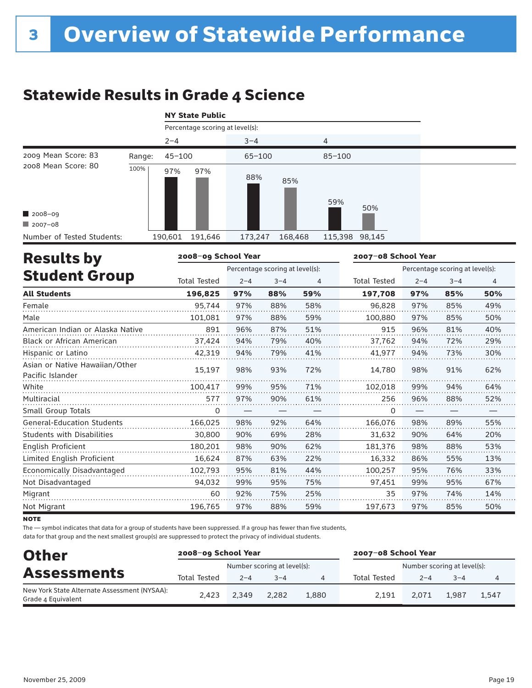# Statewide Results in Grade 4 Science

|                                                |        | <b>NY State Public</b> |                                 |            |         |                |     |  |  |
|------------------------------------------------|--------|------------------------|---------------------------------|------------|---------|----------------|-----|--|--|
|                                                |        |                        | Percentage scoring at level(s): |            |         |                |     |  |  |
|                                                |        | $2 - 4$                |                                 | $3 - 4$    |         | 4              |     |  |  |
| 2009 Mean Score: 83                            | Range: | $45 - 100$             |                                 | $65 - 100$ |         | $85 - 100$     |     |  |  |
| 2008 Mean Score: 80<br>2008-09<br>$12007 - 08$ | 100%   | 97%                    | 97%                             | 88%        | 85%     | 59%            | 50% |  |  |
| Number of Tested Students:                     |        | 190,601                | 191,646                         | 173,247    | 168,468 | 115,398 98,145 |     |  |  |

| <b>Results by</b>                                  | 2008-09 School Year |         |                                 |     | 2007-08 School Year |         |                                 |     |  |
|----------------------------------------------------|---------------------|---------|---------------------------------|-----|---------------------|---------|---------------------------------|-----|--|
|                                                    |                     |         | Percentage scoring at level(s): |     |                     |         | Percentage scoring at level(s): |     |  |
| <b>Student Group</b>                               | <b>Total Tested</b> | $2 - 4$ | $3 - 4$                         | 4   | <b>Total Tested</b> | $2 - 4$ | $3 - 4$                         | 4   |  |
| <b>All Students</b>                                | 196,825             | 97%     | 88%                             | 59% | 197,708             | 97%     | 85%                             | 50% |  |
| Female                                             | 95.744              | 97%     | 88%                             | 58% | 96.828              | 97%     | 85%                             | 49% |  |
| Male                                               | 101,081             | 97%     | 88%                             | 59% | 100,880             | 97%     | 85%                             | 50% |  |
| American Indian or Alaska Native                   | 891                 | 96%     | 87%                             | 51% | 915                 | 96%     | 81%                             | 40% |  |
| <b>Black or African American</b>                   | 37,424              | 94%     | 79%                             | 40% | 37,762              | 94%     | 72%                             | 29% |  |
| Hispanic or Latino                                 | 42,319              | 94%     | 79%                             | 41% | 41,977              | 94%     | 73%                             | 30% |  |
| Asian or Native Hawaiian/Other<br>Pacific Islander | 15,197              | 98%     | 93%                             | 72% | 14,780              | 98%     | 91%                             | 62% |  |
| White                                              | 100,417             | 99%     | 95%                             | 71% | 102,018             | 99%     | 94%                             | 64% |  |
| Multiracial                                        | 577                 | 97%     | 90%                             | 61% | 256                 | 96%     | 88%                             | 52% |  |
| Small Group Totals                                 | 0                   |         |                                 |     | 0                   |         |                                 |     |  |
| <b>General-Education Students</b>                  | 166,025             | 98%     | 92%                             | 64% | 166,076             | 98%     | 89%                             | 55% |  |
| <b>Students with Disabilities</b>                  | 30,800              | 90%     | 69%                             | 28% | 31,632              | 90%     | 64%                             | 20% |  |
| <b>English Proficient</b>                          | 180,201             | 98%     | 90%                             | 62% | 181,376             | 98%     | 88%                             | 53% |  |
| Limited English Proficient                         | 16,624              | 87%     | 63%                             | 22% | 16,332              | 86%     | 55%                             | 13% |  |
| Economically Disadvantaged                         | 102,793             | 95%     | 81%                             | 44% | 100,257             | 95%     | 76%                             | 33% |  |
| Not Disadvantaged                                  | 94,032              | 99%     | 95%                             | 75% | 97,451              | 99%     | 95%                             | 67% |  |
| Migrant                                            | 60                  | 92%     | 75%                             | 25% | 35                  | 97%     | 74%                             | 14% |  |
| Not Migrant                                        | 196,765             | 97%     | 88%                             | 59% | 197,673             | 97%     | 85%                             | 50% |  |

**NOTE** 

The — symbol indicates that data for a group of students have been suppressed. If a group has fewer than five students,

| <b>Other</b>                                                       | 2008-09 School Year         |         |         |       | 2007-08 School Year         |         |         |                |
|--------------------------------------------------------------------|-----------------------------|---------|---------|-------|-----------------------------|---------|---------|----------------|
|                                                                    | Number scoring at level(s): |         |         |       | Number scoring at level(s): |         |         |                |
| <b>Assessments</b>                                                 | <b>Total Tested</b>         | $2 - 4$ | $3 - 4$ | 4     | Total Tested                | $2 - 4$ | $3 - 4$ | $\overline{4}$ |
| New York State Alternate Assessment (NYSAA):<br>Grade 4 Equivalent | 2.423                       | 2.349   | 2.282   | 1,880 | 2.191                       | 2.071   | 1.987   | 1.547          |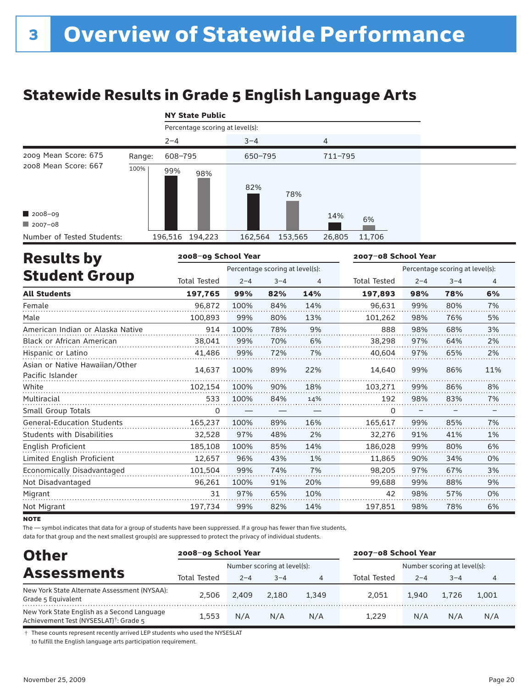# Statewide Results in Grade 5 English Language Arts

|  | <b>NY State Public</b> |
|--|------------------------|
|  |                        |

|                            |        |         | Percentage scoring at level(s): |         |         |         |        |  |  |
|----------------------------|--------|---------|---------------------------------|---------|---------|---------|--------|--|--|
|                            |        | $2 - 4$ |                                 | $3 - 4$ |         | 4       |        |  |  |
| 2009 Mean Score: 675       | Range: | 608-795 |                                 | 650-795 |         | 711-795 |        |  |  |
| 2008 Mean Score: 667       | 100%   | 99%     | 98%                             | 82%     | 78%     |         |        |  |  |
| 2008-09                    |        |         |                                 |         |         | 14%     | 6%     |  |  |
| $12007 - 08$               |        |         |                                 |         |         |         |        |  |  |
| Number of Tested Students: |        |         | 196,516 194,223                 | 162,564 | 153,565 | 26,805  | 11,706 |  |  |

| <b>Results by</b>                                  | 2008-09 School Year |         |                                 |     | 2007-08 School Year |         |                                 |                |  |  |
|----------------------------------------------------|---------------------|---------|---------------------------------|-----|---------------------|---------|---------------------------------|----------------|--|--|
|                                                    |                     |         | Percentage scoring at level(s): |     |                     |         | Percentage scoring at level(s): |                |  |  |
| <b>Student Group</b>                               | <b>Total Tested</b> | $2 - 4$ | $3 - 4$                         | 4   | <b>Total Tested</b> | $2 - 4$ | $3 - 4$                         | $\overline{4}$ |  |  |
| <b>All Students</b>                                | 197.765             | 99%     | 82%                             | 14% | 197,893             | 98%     | 78%                             | 6%             |  |  |
| Female                                             | 96.872              | 100%    | 84%                             | 14% | 96.631              | 99%     | 80%                             | 7%             |  |  |
| Male                                               | 100,893             | 99%     | 80%                             | 13% | 101,262             | 98%     | 76%                             | 5%             |  |  |
| American Indian or Alaska Native                   | 914                 | 100%    | 78%                             | 9%  | 888                 | 98%     | 68%                             | 3%             |  |  |
| <b>Black or African American</b>                   | 38,041              | 99%     | 70%                             | 6%  | 38,298              | 97%     | 64%                             | 2%             |  |  |
| Hispanic or Latino                                 | 41,486              | 99%     | 72%                             | 7%  | 40,604              | 97%     | 65%                             | 2%             |  |  |
| Asian or Native Hawaiian/Other<br>Pacific Islander | 14,637              | 100%    | 89%                             | 22% | 14,640              | 99%     | 86%                             | 11%            |  |  |
| White                                              | 102,154             | 100%    | 90%                             | 18% | 103,271             | 99%     | 86%                             | 8%             |  |  |
| Multiracial                                        | 533                 | 100%    | 84%                             | 14% | 192                 | 98%     | 83%                             | 7%             |  |  |
| Small Group Totals                                 | 0                   |         |                                 |     | 0                   |         |                                 |                |  |  |
| <b>General-Education Students</b>                  | 165,237             | 100%    | 89%                             | 16% | 165.617             | 99%     | 85%                             | 7%             |  |  |
| <b>Students with Disabilities</b>                  | 32,528              | 97%     | 48%                             | 2%  | 32,276              | 91%     | 41%                             | 1%             |  |  |
| English Proficient                                 | 185,108             | 100%    | 85%                             | 14% | 186,028             | 99%     | 80%                             | 6%             |  |  |
| Limited English Proficient                         | 12,657              | 96%     | 43%                             | 1%  | 11,865              | 90%     | 34%                             | 0%             |  |  |
| Economically Disadvantaged                         | 101,504             | 99%     | 74%                             | 7%  | 98.205              | 97%     | 67%                             | 3%             |  |  |
| Not Disadvantaged                                  | 96,261              | 100%    | 91%                             | 20% | 99,688              | 99%     | 88%                             | 9%             |  |  |
| Migrant                                            | 31                  | 97%     | 65%                             | 10% | 42                  | 98%     | 57%                             | 0%             |  |  |
| Not Migrant                                        | 197,734             | 99%     | 82%                             | 14% | 197,851             | 98%     | 78%                             | 6%             |  |  |

**NOTE** 

The — symbol indicates that data for a group of students have been suppressed. If a group has fewer than five students,

data for that group and the next smallest group(s) are suppressed to protect the privacy of individual students.

| <b>Other</b>                                                                                      | 2008-09 School Year |         |                             |       | 2007-08 School Year |                             |         |       |  |
|---------------------------------------------------------------------------------------------------|---------------------|---------|-----------------------------|-------|---------------------|-----------------------------|---------|-------|--|
|                                                                                                   |                     |         | Number scoring at level(s): |       |                     | Number scoring at level(s): |         |       |  |
| <b>Assessments</b>                                                                                | Total Tested        | $2 - 4$ | $3 - 4$                     | 4     | Total Tested        | $2 - 4$                     | $3 - 4$ | 4     |  |
| New York State Alternate Assessment (NYSAA):<br>Grade 5 Equivalent                                | 2.506               | 2.409   | 2.180                       | 1.349 | 2.051               | 1.940                       | 1.726   | 1.001 |  |
| New York State English as a Second Language<br>Achievement Test (NYSESLAT) <sup>†</sup> : Grade 5 | 1.553               | N/A     | N/A                         | N/A   | 1.229               | N/A                         | N/A     | N/A   |  |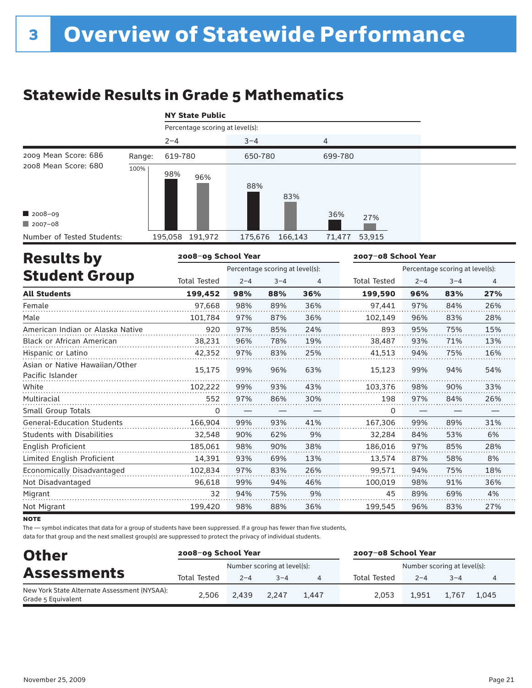# Statewide Results in Grade 5 Mathematics

|                            |        |         | Percentage scoring at level(s): |         |         |         |        |  |
|----------------------------|--------|---------|---------------------------------|---------|---------|---------|--------|--|
|                            |        | $2 - 4$ |                                 | $3 - 4$ |         | 4       |        |  |
| 2009 Mean Score: 686       | Range: | 619-780 |                                 | 650-780 |         | 699-780 |        |  |
| 2008 Mean Score: 680       | 100%   | 98%     | 96%                             | 88%     | 83%     |         |        |  |
| 2008-09                    |        |         |                                 |         |         | 36%     | 27%    |  |
| $\Box$ 2007-08             |        |         |                                 |         |         |         |        |  |
| Number of Tested Students: |        |         | 195,058 191,972                 | 175,676 | 166,143 | 71,477  | 53,915 |  |

| <b>Results by</b>                                  | 2008-09 School Year |                                 |                                 |     | 2007-08 School Year |         |         |     |
|----------------------------------------------------|---------------------|---------------------------------|---------------------------------|-----|---------------------|---------|---------|-----|
|                                                    |                     | Percentage scoring at level(s): | Percentage scoring at level(s): |     |                     |         |         |     |
| <b>Student Group</b>                               | <b>Total Tested</b> | $2 - 4$                         | $3 - 4$                         | 4   | <b>Total Tested</b> | $2 - 4$ | $3 - 4$ | 4   |
| <b>All Students</b>                                | 199,452             | 98%                             | 88%                             | 36% | 199,590             | 96%     | 83%     | 27% |
| Female                                             | 97.668              | 98%                             | 89%                             | 36% | 97,441              | 97%     | 84%     | 26% |
| Male                                               | 101,784             | 97%                             | 87%                             | 36% | 102,149             | 96%     | 83%     | 28% |
| American Indian or Alaska Native                   | 920                 | 97%                             | 85%                             | 24% | 893                 | 95%     | 75%     | 15% |
| <b>Black or African American</b>                   | 38,231              | 96%                             | 78%                             | 19% | 38,487              | 93%     | 71%     | 13% |
| Hispanic or Latino                                 | 42,352              | 97%                             | 83%                             | 25% | 41,513              | 94%     | 75%     | 16% |
| Asian or Native Hawaiian/Other<br>Pacific Islander | 15,175              | 99%                             | 96%                             | 63% | 15,123              | 99%     | 94%     | 54% |
| White                                              | 102,222             | 99%                             | 93%                             | 43% | 103,376             | 98%     | 90%     | 33% |
| Multiracial                                        | 552                 | 97%                             | 86%                             | 30% | 198                 | 97%     | 84%     | 26% |
| Small Group Totals                                 | 0                   |                                 |                                 |     | 0                   |         |         |     |
| <b>General-Education Students</b>                  | 166.904             | 99%                             | 93%                             | 41% | 167,306             | 99%     | 89%     | 31% |
| <b>Students with Disabilities</b>                  | 32,548              | 90%                             | 62%                             | 9%  | 32,284              | 84%     | 53%     | 6%  |
| English Proficient                                 | 185,061             | 98%                             | 90%                             | 38% | 186,016             | 97%     | 85%     | 28% |
| Limited English Proficient                         | 14,391              | 93%                             | 69%                             | 13% | 13,574              | 87%     | 58%     | 8%  |
| Economically Disadvantaged                         | 102,834             | 97%                             | 83%                             | 26% | 99,571              | 94%     | 75%     | 18% |
| Not Disadvantaged                                  | 96,618              | 99%                             | 94%                             | 46% | 100,019             | 98%     | 91%     | 36% |
| Migrant                                            | 32                  | 94%                             | 75%                             | 9%  | 45                  | 89%     | 69%     | 4%  |
| Not Migrant                                        | 199,420             | 98%                             | 88%                             | 36% | 199,545             | 96%     | 83%     | 27% |

**NOTE** 

The — symbol indicates that data for a group of students have been suppressed. If a group has fewer than five students,

| <b>Other</b>                                                       | 2008-09 School Year         |         |         |       | 2007-08 School Year |                             |         |       |
|--------------------------------------------------------------------|-----------------------------|---------|---------|-------|---------------------|-----------------------------|---------|-------|
| <b>Assessments</b>                                                 | Number scoring at level(s): |         |         |       |                     | Number scoring at level(s): |         |       |
|                                                                    | <b>Total Tested</b>         | $2 - 4$ | $3 - 4$ |       | Total Tested        | $2 - 4$                     | $3 - 4$ | 4     |
| New York State Alternate Assessment (NYSAA):<br>Grade 5 Equivalent | 2.506                       | 2.439   | 2.247   | 1.447 | 2.053               | 1.951                       | 1,767   | 1.045 |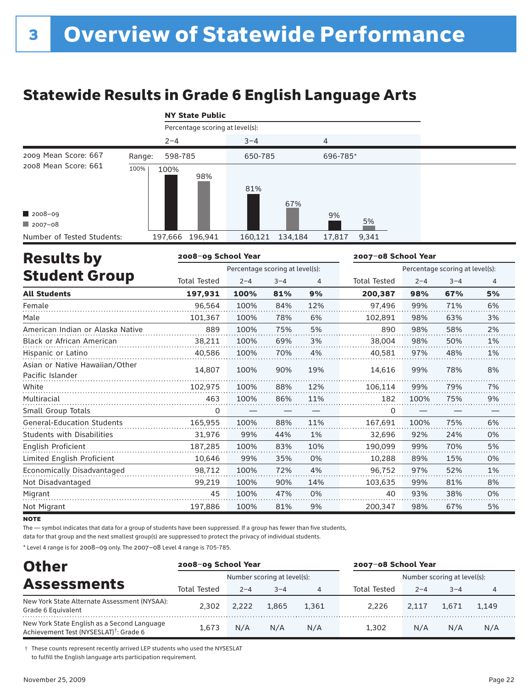# Statewide Results in Grade 6 English Language Arts

|  | <b>NY State Public</b> |
|--|------------------------|
|  |                        |

|                            | Percentage scoring at level(s): |            |                   |       |  |  |  |  |  |  |
|----------------------------|---------------------------------|------------|-------------------|-------|--|--|--|--|--|--|
|                            | $2 - 4$                         | $3 - 4$    | 4                 |       |  |  |  |  |  |  |
| 2009 Mean Score: 667       | 598-785<br>Range:               | 650-785    | 696-785*          |       |  |  |  |  |  |  |
| 2008 Mean Score: 661       | 100%<br>100%                    | 98%<br>81% | 67%               |       |  |  |  |  |  |  |
| 2008-09                    |                                 |            | 9%                |       |  |  |  |  |  |  |
| $12007 - 08$               |                                 |            |                   | 5%    |  |  |  |  |  |  |
| Number of Tested Students: | 197,666 196,941                 | 160,121    | 134,184<br>17,817 | 9,341 |  |  |  |  |  |  |

| <b>Results by</b>                                  | 2008-09 School Year |                                 |                                 |     | 2007-08 School Year |         |         |    |
|----------------------------------------------------|---------------------|---------------------------------|---------------------------------|-----|---------------------|---------|---------|----|
|                                                    |                     | Percentage scoring at level(s): | Percentage scoring at level(s): |     |                     |         |         |    |
| <b>Student Group</b>                               | <b>Total Tested</b> | $2 - 4$                         | $3 - 4$                         | 4   | <b>Total Tested</b> | $2 - 4$ | $3 - 4$ | 4  |
| <b>All Students</b>                                | 197,931             | 100%                            | 81%                             | 9%  | 200,387             | 98%     | 67%     | 5% |
| Female                                             | 96,564              | 100%                            | 84%                             | 12% | 97,496              | 99%     | 71%     | 6% |
| Male                                               | 101,367             | 100%                            | 78%                             | 6%  | 102,891             | 98%     | 63%     | 3% |
| American Indian or Alaska Native                   | 889                 | 100%                            | 75%                             | 5%  | 890                 | 98%     | 58%     | 2% |
| <b>Black or African American</b>                   | 38,211              | 100%                            | 69%                             | 3%  | 38,004              | 98%     | 50%     | 1% |
| Hispanic or Latino                                 | 40,586              | 100%                            | 70%                             | 4%  | 40,581              | 97%     | 48%     | 1% |
| Asian or Native Hawaiian/Other<br>Pacific Islander | 14,807              | 100%                            | 90%                             | 19% | 14,616              | 99%     | 78%     | 8% |
| White                                              | 102,975             | 100%                            | 88%                             | 12% | 106,114             | 99%     | 79%     | 7% |
| Multiracial                                        | 463                 | 100%                            | 86%                             | 11% | 182                 | 100%    | 75%     | 9% |
| Small Group Totals                                 | 0                   |                                 |                                 |     | 0                   |         |         |    |
| <b>General-Education Students</b>                  | 165,955             | 100%                            | 88%                             | 11% | 167.691             | 100%    | 75%     | 6% |
| <b>Students with Disabilities</b>                  | 31,976              | 99%                             | 44%                             | 1%  | 32,696              | 92%     | 24%     | 0% |
| <b>English Proficient</b>                          | 187,285             | 100%                            | 83%                             | 10% | 190,099             | 99%     | 70%     | 5% |
| Limited English Proficient                         | 10,646              | 99%                             | 35%                             | 0%  | 10,288              | 89%     | 15%     | 0% |
| Economically Disadvantaged                         | 98.712              | 100%                            | 72%                             | 4%  | 96.752              | 97%     | 52%     | 1% |
| Not Disadvantaged                                  | 99,219              | 100%                            | 90%                             | 14% | 103,635             | 99%     | 81%     | 8% |
| Migrant                                            | 45                  | 100%                            | 47%                             | 0%  | 40                  | 93%     | 38%     | 0% |
| Not Migrant                                        | 197,886             | 100%                            | 81%                             | 9%  | 200,347             | 98%     | 67%     | 5% |

**NOTE** 

The — symbol indicates that data for a group of students have been suppressed. If a group has fewer than five students,

data for that group and the next smallest group(s) are suppressed to protect the privacy of individual students.

\* Level 4 range is for 2008–09 only. The 2007–08 Level 4 range is 705-785.

| <b>Other</b>                                                                                      |              | 2008-09 School Year |                             |       |              | 2007-08 School Year |                             |       |  |
|---------------------------------------------------------------------------------------------------|--------------|---------------------|-----------------------------|-------|--------------|---------------------|-----------------------------|-------|--|
|                                                                                                   |              |                     | Number scoring at level(s): |       |              |                     | Number scoring at level(s): |       |  |
| <b>Assessments</b>                                                                                | Total Tested | $2 - 4$             | $3 - 4$                     | 4     | Total Tested | $2 - 4$             | $3 - 4$                     | 4     |  |
| New York State Alternate Assessment (NYSAA):<br>Grade 6 Equivalent                                | 2.302        | 2.222               | 1.865                       | 1.361 | 2.226        | 2.117               | 1.671                       | 1.149 |  |
| New York State English as a Second Language<br>Achievement Test (NYSESLAT) <sup>†</sup> : Grade 6 | 1.673        | N/A                 | N/A                         | N/A   | 1.302        | N/A                 | N/A                         | N/A   |  |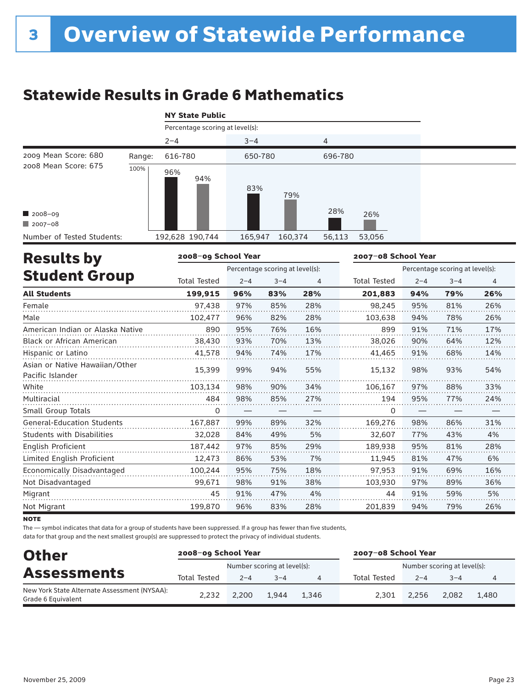# Statewide Results in Grade 6 Mathematics

|  |  | <b>NY State Public</b> |
|--|--|------------------------|
|--|--|------------------------|

|                            |        | Percentage scoring at level(s): |                    |                  |
|----------------------------|--------|---------------------------------|--------------------|------------------|
|                            |        | $2 - 4$                         | $3 - 4$            | 4                |
| 2009 Mean Score: 680       | Range: | 616-780                         | 650-780            | 696-780          |
| 2008 Mean Score: 675       | 100%   | 96%<br>94%                      | 83%<br>79%         |                  |
| 2008-09                    |        |                                 |                    | 28%<br>26%       |
| $12007 - 08$               |        |                                 |                    |                  |
| Number of Tested Students: |        | 192,628 190,744                 | 165,947<br>160,374 | 53,056<br>56,113 |

| <b>Results by</b>                                  | 2008-09 School Year |                                 |         |                                 | 2007-08 School Year |         |         |     |
|----------------------------------------------------|---------------------|---------------------------------|---------|---------------------------------|---------------------|---------|---------|-----|
|                                                    |                     | Percentage scoring at level(s): |         | Percentage scoring at level(s): |                     |         |         |     |
| <b>Student Group</b>                               | <b>Total Tested</b> | $2 - 4$                         | $3 - 4$ | 4                               | <b>Total Tested</b> | $2 - 4$ | $3 - 4$ | 4   |
| <b>All Students</b>                                | 199,915             | 96%                             | 83%     | 28%                             | 201,883             | 94%     | 79%     | 26% |
| Female                                             | 97,438              | 97%                             | 85%     | 28%                             | 98,245              | 95%     | 81%     | 26% |
| Male                                               | 102,477             | 96%                             | 82%     | 28%                             | 103,638             | 94%     | 78%     | 26% |
| American Indian or Alaska Native                   | 890                 | 95%                             | 76%     | 16%                             | 899                 | 91%     | 71%     | 17% |
| <b>Black or African American</b>                   | 38,430              | 93%                             | 70%     | 13%                             | 38.026              | 90%     | 64%     | 12% |
| Hispanic or Latino                                 | 41,578              | 94%                             | 74%     | 17%                             | 41,465              | 91%     | 68%     | 14% |
| Asian or Native Hawaiian/Other<br>Pacific Islander | 15,399              | 99%                             | 94%     | 55%                             | 15,132              | 98%     | 93%     | 54% |
| White                                              | 103,134             | 98%                             | 90%     | 34%                             | 106,167             | 97%     | 88%     | 33% |
| Multiracial                                        | 484                 | 98%                             | 85%     | 27%                             | 194                 | 95%     | 77%     | 24% |
| Small Group Totals                                 | 0                   |                                 |         |                                 | 0                   |         |         |     |
| <b>General-Education Students</b>                  | 167,887             | 99%                             | 89%     | 32%                             | 169,276             | 98%     | 86%     | 31% |
| <b>Students with Disabilities</b>                  | 32,028              | 84%                             | 49%     | 5%                              | 32,607              | 77%     | 43%     | 4%  |
| English Proficient                                 | 187,442             | 97%                             | 85%     | 29%                             | 189,938             | 95%     | 81%     | 28% |
| Limited English Proficient                         | 12,473              | 86%                             | 53%     | 7%                              | 11,945              | 81%     | 47%     | 6%  |
| Economically Disadvantaged                         | 100,244             | 95%                             | 75%     | 18%                             | 97,953              | 91%     | 69%     | 16% |
| Not Disadvantaged                                  | 99,671              | 98%                             | 91%     | 38%                             | 103,930             | 97%     | 89%     | 36% |
| Migrant                                            | 45                  | 91%                             | 47%     | 4%                              | 44                  | 91%     | 59%     | 5%  |
| Not Migrant                                        | 199.870             | 96%                             | 83%     | 28%                             | 201.839             | 94%     | 79%     | 26% |

**NOTE** 

The — symbol indicates that data for a group of students have been suppressed. If a group has fewer than five students,

| <b>Other</b>                                                       | 2008-09 School Year |         |                             |       | 2007-08 School Year |                             |         |       |
|--------------------------------------------------------------------|---------------------|---------|-----------------------------|-------|---------------------|-----------------------------|---------|-------|
| <b>Assessments</b>                                                 |                     |         | Number scoring at level(s): |       |                     | Number scoring at level(s): |         |       |
|                                                                    | <b>Total Tested</b> | $2 - 4$ | $3 - 4$                     | 4     | Total Tested        | $2 - 4$                     | $3 - 4$ | 4     |
| New York State Alternate Assessment (NYSAA):<br>Grade 6 Equivalent | 2.232               | 2.200   | 1.944                       | 1.346 | 2.301               | 2.256                       | 2.082   | 1.480 |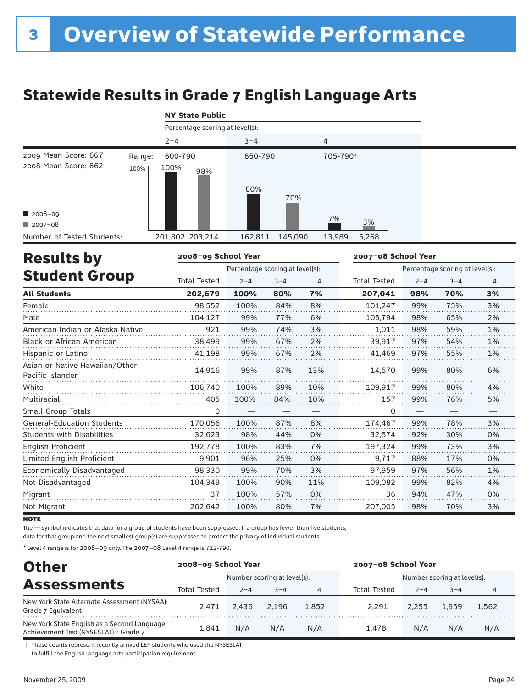# Statewide Results in Grade 7 English Language Arts

|  | <b>NY State Public</b> |
|--|------------------------|
|  |                        |

|                            | $2 - 4$             | $3 - 4$            | 4               |  |
|----------------------------|---------------------|--------------------|-----------------|--|
| 2009 Mean Score: 667       | 600-790<br>Range:   | 650-790            | 705-790*        |  |
| 2008 Mean Score: 662       | 100%<br>100%<br>98% | 80%<br>70%         |                 |  |
| 2008-09                    |                     |                    | 7%              |  |
| $2007 - 08$                |                     |                    | 3%              |  |
| Number of Tested Students: | 201,802 203,214     | 145,090<br>162,811 | 13,989<br>5,268 |  |

| <b>Results by</b>                                  | 2008-09 School Year |                                 |         |     | 2007-08 School Year             |         |         |                |  |
|----------------------------------------------------|---------------------|---------------------------------|---------|-----|---------------------------------|---------|---------|----------------|--|
|                                                    |                     | Percentage scoring at level(s): |         |     | Percentage scoring at level(s): |         |         |                |  |
| <b>Student Group</b>                               | <b>Total Tested</b> | $2 - 4$                         | $3 - 4$ | 4   | <b>Total Tested</b>             | $2 - 4$ | $3 - 4$ | $\overline{4}$ |  |
| <b>All Students</b>                                | 202,679             | 100%                            | 80%     | 7%  | 207,041                         | 98%     | 70%     | 3%             |  |
| Female                                             | 98,552              | 100%                            | 84%     | 8%  | 101,247                         | 99%     | 75%     | 3%             |  |
| Male                                               | 104,127             | 99%                             | 77%     | 6%  | 105,794                         | 98%     | 65%     | 2%             |  |
| American Indian or Alaska Native                   | 921                 | 99%                             | 74%     | 3%  | 1,011                           | 98%     | 59%     | 1%             |  |
| Black or African American                          | 38,499              | 99%                             | 67%     | 2%  | 39,917                          | 97%     | 54%     | 1%             |  |
| Hispanic or Latino                                 | 41,198              | 99%                             | 67%     | 2%  | 41,469                          | 97%     | 55%     | 1%             |  |
| Asian or Native Hawaiian/Other<br>Pacific Islander | 14.916              | 99%                             | 87%     | 13% | 14,570                          | 99%     | 80%     | 6%             |  |
| White                                              | 106,740             | 100%                            | 89%     | 10% | 109,917                         | 99%     | 80%     | 4%             |  |
| Multiracial                                        | 405                 | 100%                            | 84%     | 10% | 157                             | 99%     | 76%     | 5%             |  |
| Small Group Totals                                 | 0                   |                                 |         |     | 0                               |         |         |                |  |
| <b>General-Education Students</b>                  | 170,056             | 100%                            | 87%     | 8%  | 174,467                         | 99%     | 78%     | 3%             |  |
| <b>Students with Disabilities</b>                  | 32,623              | 98%                             | 44%     | 0%  | 32,574                          | 92%     | 30%     | 0%             |  |
| <b>English Proficient</b>                          | 192,778             | 100%                            | 83%     | 7%  | 197,324                         | 99%     | 73%     | 3%             |  |
| Limited English Proficient                         | 9,901               | 96%                             | 25%     | 0%  | 9,717                           | 88%     | 17%     | 0%             |  |
| Economically Disadvantaged                         | 98.330              | 99%                             | 70%     | 3%  | 97.959                          | 97%     | 56%     | 1%             |  |
| Not Disadvantaged                                  | 104,349             | 100%                            | 90%     | 11% | 109,082                         | 99%     | 82%     | 4%             |  |
| Migrant                                            | 37                  | 100%                            | 57%     | 0%  | 36                              | 94%     | 47%     | 0%             |  |
| Not Migrant                                        | 202,642             | 100%                            | 80%     | 7%  | 207,005                         | 98%     | 70%     | 3%             |  |

**NOTE** 

The — symbol indicates that data for a group of students have been suppressed. If a group has fewer than five students,

data for that group and the next smallest group(s) are suppressed to protect the privacy of individual students.

\* Level 4 range is for 2008–09 only. The 2007–08 Level 4 range is 712-790.

| <b>Other</b>                                                                                      | 2008-09 School Year |         |                             |       | 2007-08 School Year         |         |         |       |
|---------------------------------------------------------------------------------------------------|---------------------|---------|-----------------------------|-------|-----------------------------|---------|---------|-------|
|                                                                                                   |                     |         | Number scoring at level(s): |       | Number scoring at level(s): |         |         |       |
| <b>Assessments</b>                                                                                | Total Tested        | $2 - 4$ | $3 - 4$                     |       | Total Tested                | $2 - 4$ | $3 - 4$ | 4     |
| New York State Alternate Assessment (NYSAA):<br>Grade 7 Equivalent                                | 2.471               | 2.436   | 2.196                       | 1.852 | 2.291                       | 2.255   | 1.959   | 1.562 |
| New York State English as a Second Language<br>Achievement Test (NYSESLAT) <sup>†</sup> : Grade 7 | 1.841               | N/A     | N/A                         | N/A   | 1.478                       | N/A     | N/A     | N/A   |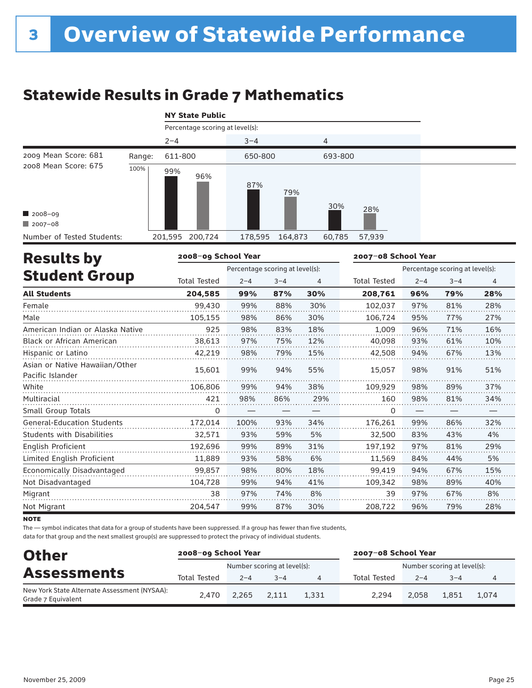# Statewide Results in Grade 7 Mathematics

| <b>NY State Public</b>                             |        |                 |                                 |                  |  |  |  |  |  |  |  |
|----------------------------------------------------|--------|-----------------|---------------------------------|------------------|--|--|--|--|--|--|--|
|                                                    |        |                 | Percentage scoring at level(s): |                  |  |  |  |  |  |  |  |
|                                                    |        | $2 - 4$         | $3 - 4$                         | 4                |  |  |  |  |  |  |  |
| 2009 Mean Score: 681                               | Range: | 611-800         | 650-800                         | 693-800          |  |  |  |  |  |  |  |
| 2008 Mean Score: 675<br>$2008 - 09$<br>$2007 - 08$ | 100%   | 99%<br>96%      | 87%<br>79%                      | 30%<br>28%       |  |  |  |  |  |  |  |
| Number of Tested Students:                         |        | 201,595 200,724 | 178,595<br>164,873              | 57,939<br>60,785 |  |  |  |  |  |  |  |

| <b>Results by</b>                                  | 2008-09 School Year |                                 |         |     | 2007-08 School Year |                                 |         |                |  |
|----------------------------------------------------|---------------------|---------------------------------|---------|-----|---------------------|---------------------------------|---------|----------------|--|
|                                                    |                     | Percentage scoring at level(s): |         |     |                     | Percentage scoring at level(s): |         |                |  |
| <b>Student Group</b>                               | <b>Total Tested</b> | $2 - 4$                         | $3 - 4$ | 4   | <b>Total Tested</b> | $2 - 4$                         | $3 - 4$ | $\overline{4}$ |  |
| <b>All Students</b>                                | 204,585             | 99%                             | 87%     | 30% | 208,761             | 96%                             | 79%     | 28%            |  |
| Female                                             | 99,430              | 99%                             | 88%     | 30% | 102,037             | 97%                             | 81%     | 28%            |  |
| Male                                               | 105,155             | 98%                             | 86%     | 30% | 106,724             | 95%                             | 77%     | 27%            |  |
| American Indian or Alaska Native                   | 925                 | 98%                             | 83%     | 18% | 1,009               | 96%                             | 71%     | 16%            |  |
| <b>Black or African American</b>                   | 38,613              | 97%                             | 75%     | 12% | 40.098              | 93%                             | 61%     | 10%            |  |
| Hispanic or Latino                                 | 42,219              | 98%                             | 79%     | 15% | 42,508              | 94%                             | 67%     | 13%            |  |
| Asian or Native Hawaiian/Other<br>Pacific Islander | 15,601              | 99%                             | 94%     | 55% | 15,057              | 98%                             | 91%     | 51%            |  |
| White                                              | 106,806             | 99%                             | 94%     | 38% | 109,929             | 98%                             | 89%     | 37%            |  |
| Multiracial                                        | 421                 | 98%                             | 86%     | 29% | 160                 | 98%                             | 81%     | 34%            |  |
| Small Group Totals                                 | 0                   |                                 |         |     | 0                   |                                 |         |                |  |
| <b>General-Education Students</b>                  | 172,014             | 100%                            | 93%     | 34% | 176,261             | 99%                             | 86%     | 32%            |  |
| <b>Students with Disabilities</b>                  | 32,571              | 93%                             | 59%     | 5%  | 32,500              | 83%                             | 43%     | 4%             |  |
| English Proficient                                 | 192,696             | 99%                             | 89%     | 31% | 197,192             | 97%                             | 81%     | 29%            |  |
| Limited English Proficient                         | 11,889              | 93%                             | 58%     | 6%  | 11,569              | 84%                             | 44%     | 5%             |  |
| Economically Disadvantaged                         | 99.857              | 98%                             | 80%     | 18% | 99,419              | 94%                             | 67%     | 15%            |  |
| Not Disadvantaged                                  | 104,728             | 99%                             | 94%     | 41% | 109,342             | 98%                             | 89%     | 40%            |  |
| Migrant                                            | 38                  | 97%                             | 74%     | 8%  | 39                  | 97%                             | 67%     | 8%             |  |
| Not Migrant                                        | 204,547             | 99%                             | 87%     | 30% | 208,722             | 96%                             | 79%     | 28%            |  |

**NOTE** 

The — symbol indicates that data for a group of students have been suppressed. If a group has fewer than five students,

| <b>Other</b>                                                       | 2008-09 School Year |         |                             |       | 2007-08 School Year         |         |         |       |  |
|--------------------------------------------------------------------|---------------------|---------|-----------------------------|-------|-----------------------------|---------|---------|-------|--|
| <b>Assessments</b>                                                 |                     |         | Number scoring at level(s): |       | Number scoring at level(s): |         |         |       |  |
|                                                                    | <b>Total Tested</b> | $2 - 4$ | $3 - 4$                     |       | Total Tested                | $2 - 4$ | $3 - 4$ |       |  |
| New York State Alternate Assessment (NYSAA):<br>Grade 7 Equivalent | 2.470               | 2.265   | 2.111                       | 1.331 | 2.294                       | 2.058   | 1.851   | 1.074 |  |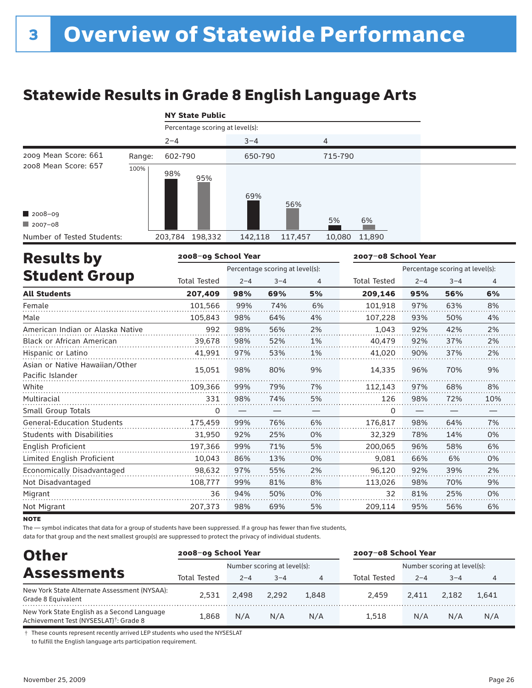# Statewide Results in Grade 8 English Language Arts

|  |  |  | <b>NY State Public</b> |
|--|--|--|------------------------|
|--|--|--|------------------------|

|                            |        |         | Percentage scoring at level(s): |         |         |         |        |  |
|----------------------------|--------|---------|---------------------------------|---------|---------|---------|--------|--|
|                            |        | $2 - 4$ |                                 | $3 - 4$ |         | 4       |        |  |
| 2009 Mean Score: 661       | Range: | 602-790 |                                 | 650-790 |         | 715-790 |        |  |
| 2008 Mean Score: 657       | 100%   | 98%     | 95%                             | 69%     | 56%     |         |        |  |
| 2008-09                    |        |         |                                 |         |         |         |        |  |
| $12007 - 08$               |        |         |                                 |         |         | 5%      | 6%     |  |
| Number of Tested Students: |        | 203,784 | 198,332                         | 142,118 | 117,457 | 10,080  | 11,890 |  |

| <b>Results by</b>                                  | 2008-09 School Year |         |                                 |    | 2007-08 School Year             |         |         |                |  |
|----------------------------------------------------|---------------------|---------|---------------------------------|----|---------------------------------|---------|---------|----------------|--|
|                                                    |                     |         | Percentage scoring at level(s): |    | Percentage scoring at level(s): |         |         |                |  |
| <b>Student Group</b>                               | <b>Total Tested</b> | $2 - 4$ | $3 - 4$                         | 4  | <b>Total Tested</b>             | $2 - 4$ | $3 - 4$ | $\overline{4}$ |  |
| <b>All Students</b>                                | 207.409             | 98%     | 69%                             | 5% | 209,146                         | 95%     | 56%     | 6%             |  |
| Female                                             | 101,566             | 99%     | 74%                             | 6% | 101,918                         | 97%     | 63%     | 8%             |  |
| Male                                               | 105,843             | 98%     | 64%                             | 4% | 107,228                         | 93%     | 50%     | 4%             |  |
| American Indian or Alaska Native                   | 992                 | 98%     | 56%                             | 2% | 1,043                           | 92%     | 42%     | 2%             |  |
| <b>Black or African American</b>                   | 39,678              | 98%     | 52%                             | 1% | 40,479                          | 92%     | 37%     | 2%             |  |
| Hispanic or Latino                                 | 41,991              | 97%     | 53%                             | 1% | 41,020                          | 90%     | 37%     | 2%             |  |
| Asian or Native Hawaiian/Other<br>Pacific Islander | 15,051              | 98%     | 80%                             | 9% | 14,335                          | 96%     | 70%     | 9%             |  |
| White                                              | 109,366             | 99%     | 79%                             | 7% | 112,143                         | 97%     | 68%     | 8%             |  |
| Multiracial                                        | 331                 | 98%     | 74%                             | 5% | 126                             | 98%     | 72%     | 10%            |  |
| Small Group Totals                                 | 0                   |         |                                 | —  | 0                               |         |         |                |  |
| <b>General-Education Students</b>                  | 175,459             | 99%     | 76%                             | 6% | 176,817                         | 98%     | 64%     | 7%             |  |
| <b>Students with Disabilities</b>                  | 31,950              | 92%     | 25%                             | 0% | 32,329                          | 78%     | 14%     | 0%             |  |
| English Proficient                                 | 197,366             | 99%     | 71%                             | 5% | 200,065                         | 96%     | 58%     | 6%             |  |
| Limited English Proficient                         | 10,043              | 86%     | 13%                             | 0% | 9,081                           | 66%     | 6%      | 0%             |  |
| Economically Disadvantaged                         | 98.632              | 97%     | 55%                             | 2% | 96.120                          | 92%     | 39%     | 2%             |  |
| Not Disadvantaged                                  | 108,777             | 99%     | 81%                             | 8% | 113,026                         | 98%     | 70%     | 9%             |  |
| Migrant                                            | 36                  | 94%     | 50%                             | 0% | 32                              | 81%     | 25%     | 0%             |  |
| Not Migrant                                        | 207,373             | 98%     | 69%                             | 5% | 209,114                         | 95%     | 56%     | 6%             |  |

**NOTE** 

The — symbol indicates that data for a group of students have been suppressed. If a group has fewer than five students,

data for that group and the next smallest group(s) are suppressed to protect the privacy of individual students.

| <b>Other</b>                                                                                      | 2008-09 School Year |         |                             |       | 2007-08 School Year         |         |         |       |
|---------------------------------------------------------------------------------------------------|---------------------|---------|-----------------------------|-------|-----------------------------|---------|---------|-------|
|                                                                                                   |                     |         | Number scoring at level(s): |       | Number scoring at level(s): |         |         |       |
| <b>Assessments</b>                                                                                | <b>Total Tested</b> | $2 - 4$ | $3 - 4$                     | 4     | Total Tested                | $2 - 4$ | $3 - 4$ | 4     |
| New York State Alternate Assessment (NYSAA):<br>Grade 8 Equivalent                                | 2.531               | 2.498   | 2.292                       | 1,848 | 2.459                       | 2.411   | 2.182   | 1.641 |
| New York State English as a Second Language<br>Achievement Test (NYSESLAT) <sup>†</sup> : Grade 8 | 1.868               | N/A     | N/A                         | N/A   | 1.518                       | N/A     | N/A     | N/A   |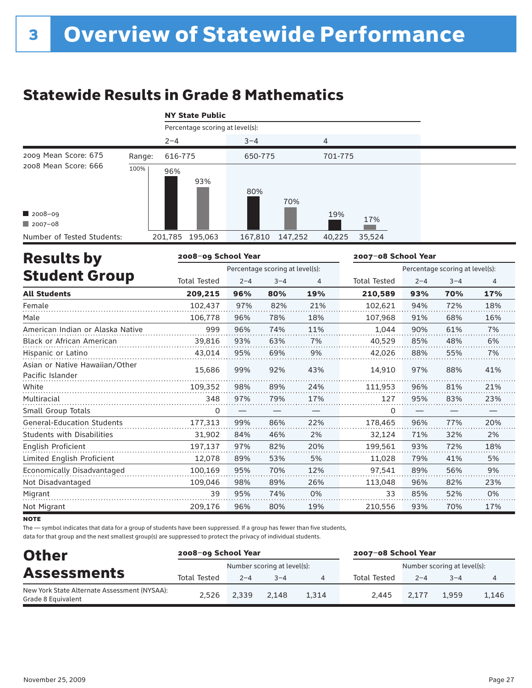# Statewide Results in Grade 8 Mathematics

|  | <b>NY State Public</b> |  |
|--|------------------------|--|
|  |                        |  |

|                            |        |         | Percentage scoring at level(s): |         |         |         |        |  |
|----------------------------|--------|---------|---------------------------------|---------|---------|---------|--------|--|
|                            |        | $2 - 4$ |                                 | $3 - 4$ |         | 4       |        |  |
| 2009 Mean Score: 675       | Range: | 616-775 |                                 | 650-775 |         | 701-775 |        |  |
| 2008 Mean Score: 666       | 100%   | 96%     | 93%                             | 80%     | 70%     |         |        |  |
| 2008-09                    |        |         |                                 |         |         | 19%     | 17%    |  |
| $\blacksquare$ 2007-08     |        |         |                                 |         |         |         |        |  |
| Number of Tested Students: |        | 201,785 | 195,063                         | 167,810 | 147,252 | 40,225  | 35,524 |  |

| <b>Results by</b>                                  | 2008-09 School Year |         |                                 |     | 2007-08 School Year<br>Percentage scoring at level(s): |         |         |     |  |
|----------------------------------------------------|---------------------|---------|---------------------------------|-----|--------------------------------------------------------|---------|---------|-----|--|
|                                                    |                     |         | Percentage scoring at level(s): |     |                                                        |         |         |     |  |
| <b>Student Group</b>                               | <b>Total Tested</b> | $2 - 4$ | $3 - 4$                         | 4   | <b>Total Tested</b>                                    | $2 - 4$ | $3 - 4$ | 4   |  |
| <b>All Students</b>                                | 209,215             | 96%     | 80%                             | 19% | 210,589                                                | 93%     | 70%     | 17% |  |
| Female                                             | 102,437             | 97%     | 82%                             | 21% | 102.621                                                | 94%     | 72%     | 18% |  |
| Male                                               | 106,778             | 96%     | 78%                             | 18% | 107,968                                                | 91%     | 68%     | 16% |  |
| American Indian or Alaska Native                   | 999                 | 96%     | 74%                             | 11% | 1,044                                                  | 90%     | 61%     | 7%  |  |
| <b>Black or African American</b>                   | 39,816              | 93%     | 63%                             | 7%  | 40,529                                                 | 85%     | 48%     | 6%  |  |
| Hispanic or Latino                                 | 43,014              | 95%     | 69%                             | 9%  | 42,026                                                 | 88%     | 55%     | 7%  |  |
| Asian or Native Hawaiian/Other<br>Pacific Islander | 15,686              | 99%     | 92%                             | 43% | 14,910                                                 | 97%     | 88%     | 41% |  |
| White                                              | 109,352             | 98%     | 89%                             | 24% | 111,953                                                | 96%     | 81%     | 21% |  |
| Multiracial                                        | 348                 | 97%     | 79%                             | 17% | 127                                                    | 95%     | 83%     | 23% |  |
| Small Group Totals                                 | 0                   |         |                                 |     | 0                                                      |         |         |     |  |
| <b>General-Education Students</b>                  | 177,313             | 99%     | 86%                             | 22% | 178,465                                                | 96%     | 77%     | 20% |  |
| <b>Students with Disabilities</b>                  | 31,902              | 84%     | 46%                             | 2%  | 32,124                                                 | 71%     | 32%     | 2%  |  |
| English Proficient                                 | 197,137             | 97%     | 82%                             | 20% | 199,561                                                | 93%     | 72%     | 18% |  |
| Limited English Proficient                         | 12,078              | 89%     | 53%                             | 5%  | 11,028                                                 | 79%     | 41%     | 5%  |  |
| Economically Disadvantaged                         | 100,169             | 95%     | 70%                             | 12% | 97,541                                                 | 89%     | 56%     | 9%  |  |
| Not Disadvantaged                                  | 109,046             | 98%     | 89%                             | 26% | 113,048                                                | 96%     | 82%     | 23% |  |
| Migrant                                            | 39                  | 95%     | 74%                             | 0%  | 33                                                     | 85%     | 52%     | 0%  |  |
| Not Migrant                                        | 209,176             | 96%     | 80%                             | 19% | 210,556                                                | 93%     | 70%     | 17% |  |

**NOTE** 

The — symbol indicates that data for a group of students have been suppressed. If a group has fewer than five students,

| <b>Other</b>                                                       | 2008-09 School Year |         |                             |       | 2007-08 School Year         |         |         |       |  |
|--------------------------------------------------------------------|---------------------|---------|-----------------------------|-------|-----------------------------|---------|---------|-------|--|
| <b>Assessments</b>                                                 |                     |         | Number scoring at level(s): |       | Number scoring at level(s): |         |         |       |  |
|                                                                    | <b>Total Tested</b> | $2 - 4$ | $3 - 4$                     | 4     | Total Tested                | $2 - 4$ | $3 - 4$ |       |  |
| New York State Alternate Assessment (NYSAA):<br>Grade 8 Equivalent | 2.526               | 2.339   | 2.148                       | 1.314 | 2.445                       | 2.177   | 1,959   | 1.146 |  |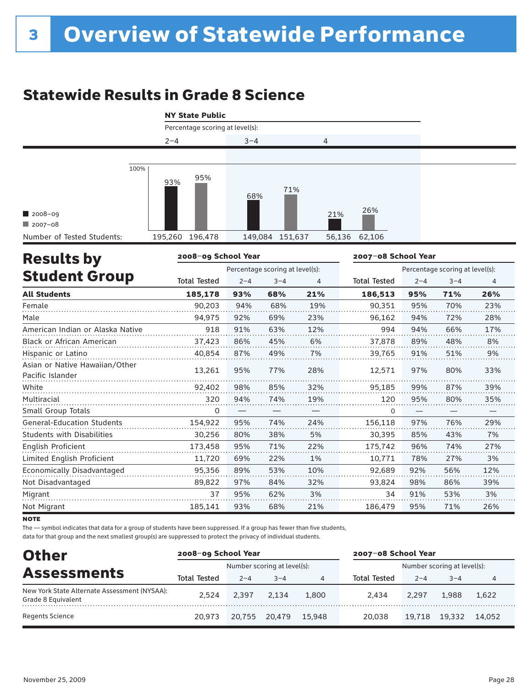# Statewide Results in Grade 8 Science

|                                                            | <b>NY State Public</b>          |         |                                 |               |                     |         |                                 |     |
|------------------------------------------------------------|---------------------------------|---------|---------------------------------|---------------|---------------------|---------|---------------------------------|-----|
|                                                            | Percentage scoring at level(s): |         |                                 |               |                     |         |                                 |     |
|                                                            | $2 - 4$                         | $3 - 4$ |                                 | 4             |                     |         |                                 |     |
| 100%                                                       |                                 |         |                                 |               |                     |         |                                 |     |
| $12008 - 09$<br>$12007 - 08$<br>Number of Tested Students: | 95%<br>93%<br>195,260 196,478   | 68%     | 71%<br>149,084 151,637          | 21%<br>56,136 | 26%<br>62,106       |         |                                 |     |
| <b>Results by</b>                                          | 2008-09 School Year             |         |                                 |               | 2007-08 School Year |         |                                 |     |
|                                                            |                                 |         | Percentage scoring at level(s): |               |                     |         | Percentage scoring at level(s): |     |
| <b>Student Group</b>                                       | <b>Total Tested</b>             | $2 - 4$ | $3 - 4$                         | 4             | <b>Total Tested</b> | $2 - 4$ | $3 - 4$                         | 4   |
| <b>All Students</b>                                        | 185,178                         | 93%     | 68%                             | 21%           | 186,513             | 95%     | 71%                             | 26% |
| Female                                                     | 90,203                          | 94%     | 68%                             | 19%           | 90,351              | 95%     | 70%                             | 23% |
| Male                                                       | 94,975                          | 92%     | 69%                             | 23%           | 96,162              | 94%     | 72%                             | 28% |
| American Indian or Alaska Native                           | 918                             | 91%     | 63%                             | 12%           | 994                 | 94%     | 66%                             | 17% |
| Black or African American                                  | 37,423                          | 86%     | 45%                             | 6%            | 37,878              | 89%     | 48%                             | 8%  |
| Hispanic or Latino                                         | 40.854                          | 87%     | 49%                             | 7%            | 39,765              | 91%     | 51%                             | 9%  |
| Asian or Native Hawaiian/Other<br>Pacific Islander         | 13,261                          | 95%     | 77%                             | 28%           | 12,571              | 97%     | 80%                             | 33% |
| White                                                      | 92,402                          | 98%     | 85%                             | 32%           | 95,185              | 99%     | 87%                             | 39% |
| Multiracial                                                | 320                             | 94%     | 74%                             | 19%           | 120                 | 95%     | 80%                             | 35% |
| Small Group Totals                                         | 0                               |         |                                 |               | 0                   |         |                                 |     |
| <b>General-Education Students</b>                          | 154,922                         | 95%     | 74%                             | 24%           | 156,118             | 97%     | 76%                             | 29% |
| <b>Students with Disabilities</b>                          | 30,256                          | 80%     | 38%                             | 5%            | 30,395              | 85%     | 43%                             | 7%  |
| <b>English Proficient</b>                                  | 173,458                         | 95%     | 71%                             | 22%           | 175,742             | 96%     | 74%                             | 27% |
| Limited English Proficient                                 | 11,720                          | 69%     | 22%                             | 1%            | 10,771              | 78%     | 27%                             | 3%  |
| Economically Disadvantaged                                 | 95,356                          | 89%     | 53%                             | 10%           | 92,689              | 92%     | 56%                             | 12% |
| Not Disadvantaged                                          | 89,822                          | 97%     | 84%                             | 32%           | 93,824              | 98%     | 86%                             | 39% |
| Migrant                                                    | 37                              | 95%     | 62%                             | 3%            | 34                  | 91%     | 53%                             | 3%  |
| Not Migrant                                                | 185,141                         | 93%     | 68%                             | 21%           | 186,479             | 95%     | 71%                             | 26% |

**NOTE** 

The — symbol indicates that data for a group of students have been suppressed. If a group has fewer than five students,

| <b>Other</b>                                                       | 2008-09 School Year |         |                             |        | 2007-08 School Year         |         |         |        |  |
|--------------------------------------------------------------------|---------------------|---------|-----------------------------|--------|-----------------------------|---------|---------|--------|--|
|                                                                    |                     |         | Number scoring at level(s): |        | Number scoring at level(s): |         |         |        |  |
| <b>Assessments</b>                                                 | Total Tested        | $2 - 4$ | $3 - 4$                     | 4      | <b>Total Tested</b>         | $2 - 4$ | $3 - 4$ |        |  |
| New York State Alternate Assessment (NYSAA):<br>Grade 8 Equivalent | 2.524               | 2.397   | 2.134                       | 1,800  | 2.434                       | 2.297   | 1.988   | 1.622  |  |
| Regents Science                                                    | 20.973              | 20,755  | 20.479                      | 15.948 | 20,038                      | 19,718  | 19.332  | 14.052 |  |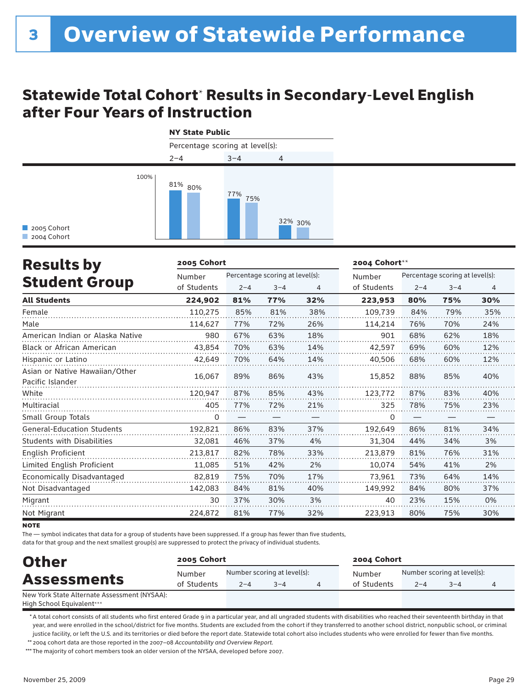### Statewide Total Cohort\* Results in Secondary-Level English after Four Years of Instruction



| <b>Results by</b>                                  | 2005 Cohort |         |                                 |     | 2004 Cohort** |                                 |         |     |
|----------------------------------------------------|-------------|---------|---------------------------------|-----|---------------|---------------------------------|---------|-----|
|                                                    | Number      |         | Percentage scoring at level(s): |     | Number        | Percentage scoring at level(s): |         |     |
| <b>Student Group</b>                               | of Students | $2 - 4$ | $3 - 4$                         | 4   | of Students   | $2 - 4$                         | $3 - 4$ | 4   |
| <b>All Students</b>                                | 224,902     | 81%     | 77%                             | 32% | 223,953       | 80%                             | 75%     | 30% |
| Female                                             | 110,275     | 85%     | 81%                             | 38% | 109.739       | 84%                             | 79%     | 35% |
| Male                                               | 114,627     | 77%     | 72%                             | 26% | 114,214       | 76%                             | 70%     | 24% |
| American Indian or Alaska Native                   | 980         | 67%     | 63%                             | 18% | 901           | 68%                             | 62%     | 18% |
| <b>Black or African American</b>                   | 43.854      | 70%     | 63%                             | 14% | 42,597        | 69%                             | 60%     | 12% |
| Hispanic or Latino                                 | 42,649      | 70%     | 64%                             | 14% | 40,506        | 68%                             | 60%     | 12% |
| Asian or Native Hawaiian/Other<br>Pacific Islander | 16,067      | 89%     | 86%                             | 43% | 15,852        | 88%                             | 85%     | 40% |
| White                                              | 120,947     | 87%     | 85%                             | 43% | 123,772       | 87%                             | 83%     | 40% |
| Multiracial                                        | 405         | 77%     | 72%                             | 21% | 325           | 78%                             | 75%     | 23% |
| Small Group Totals                                 | 0           |         |                                 |     | 0             |                                 |         |     |
| <b>General-Education Students</b>                  | 192,821     | 86%     | 83%                             | 37% | 192,649       | 86%                             | 81%     | 34% |
| <b>Students with Disabilities</b>                  | 32,081      | 46%     | 37%                             | 4%  | 31,304        | 44%                             | 34%     | 3%  |
| English Proficient                                 | 213,817     | 82%     | 78%                             | 33% | 213,879       | 81%                             | 76%     | 31% |
| Limited English Proficient                         | 11,085      | 51%     | 42%                             | 2%  | 10,074        | 54%                             | 41%     | 2%  |
| Economically Disadvantaged                         | 82,819      | 75%     | 70%                             | 17% | 73.961        | 73%                             | 64%     | 14% |
| Not Disadvantaged                                  | 142,083     | 84%     | 81%                             | 40% | 149,992       | 84%                             | 80%     | 37% |
| Migrant                                            | 30          | 37%     | 30%                             | 3%  | 40            | 23%                             | 15%     | 0%  |
| Not Migrant                                        | 224,872     | 81%     | 77%                             | 32% | 223,913       | 80%                             | 75%     | 30% |

**NOTE** 

The — symbol indicates that data for a group of students have been suppressed. If a group has fewer than five students,

data for that group and the next smallest group(s) are suppressed to protect the privacy of individual students.

| <b>Other</b>                                                                 | 2005 Cohort           |                             |         |  | 2004 Cohort |                             |         |  |  |  |
|------------------------------------------------------------------------------|-----------------------|-----------------------------|---------|--|-------------|-----------------------------|---------|--|--|--|
|                                                                              | Number<br>of Students | Number scoring at level(s): |         |  | Number      | Number scoring at level(s): |         |  |  |  |
| <b>Assessments</b>                                                           |                       | $2 - 4$                     | $3 - 4$ |  | of Students | $2 - 4$                     | $3 - 4$ |  |  |  |
| New York State Alternate Assessment (NYSAA):<br>t Back Calca of Earthcateaux |                       |                             |         |  |             |                             |         |  |  |  |

High School Equivalent\*\*\*

 \* A total cohort consists of all students who first entered Grade 9 in a particular year, and all ungraded students with disabilities who reached their seventeenth birthday in that year, and were enrolled in the school/district for five months. Students are excluded from the cohort if they transferred to another school district, nonpublic school, or criminal justice facility, or left the U.S. and its territories or died before the report date. Statewide total cohort also includes students who were enrolled for fewer than five months.

 \*\* 2004 cohort data are those reported in the 2007–08 *Accountability and Overview Report*.

\*\*\* The majority of cohort members took an older version of the NYSAA, developed before 2007.